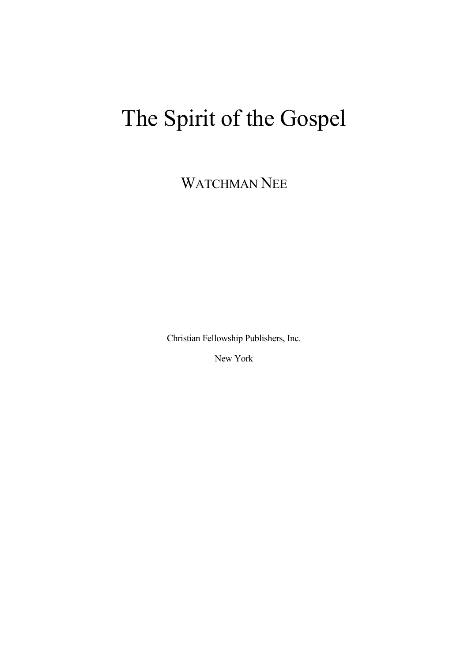# The Spirit of the Gospel

WATCHMAN NEE

Christian Fellowship Publishers, Inc.

New York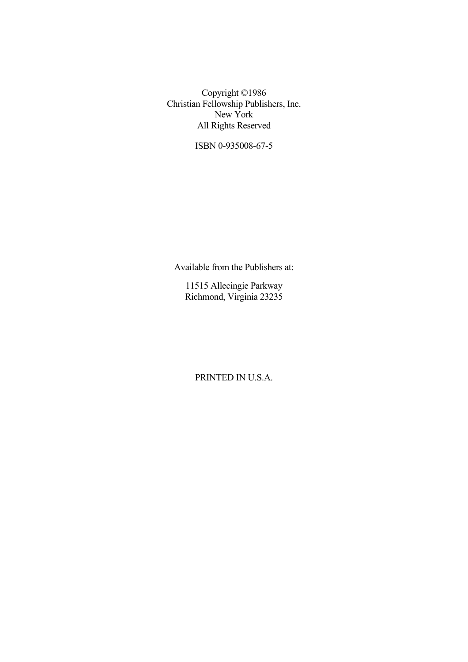Copyright ©1986 Christian Fellowship Publishers, Inc. New York All Rights Reserved

ISBN 0-935008-67-5

Available from the Publishers at:

11515 Allecingie Parkway Richmond, Virginia 23235

PRINTED IN U.S.A.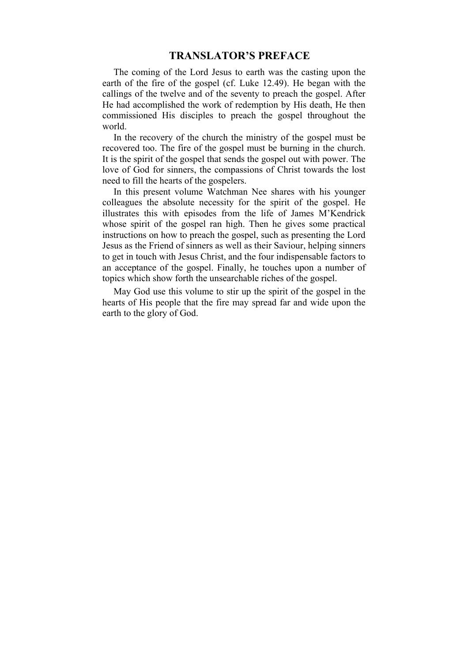# **TRANSLATOR'S PREFACE**

The coming of the Lord Jesus to earth was the casting upon the earth of the fire of the gospel (cf. Luke 12.49). He began with the callings of the twelve and of the seventy to preach the gospel. After He had accomplished the work of redemption by His death, He then commissioned His disciples to preach the gospel throughout the world.

In the recovery of the church the ministry of the gospel must be recovered too. The fire of the gospel must be burning in the church. It is the spirit of the gospel that sends the gospel out with power. The love of God for sinners, the compassions of Christ towards the lost need to fill the hearts of the gospelers.

In this present volume Watchman Nee shares with his younger colleagues the absolute necessity for the spirit of the gospel. He illustrates this with episodes from the life of James M'Kendrick whose spirit of the gospel ran high. Then he gives some practical instructions on how to preach the gospel, such as presenting the Lord Jesus as the Friend of sinners as well as their Saviour, helping sinners to get in touch with Jesus Christ, and the four indispensable factors to an acceptance of the gospel. Finally, he touches upon a number of topics which show forth the unsearchable riches of the gospel.

May God use this volume to stir up the spirit of the gospel in the hearts of His people that the fire may spread far and wide upon the earth to the glory of God.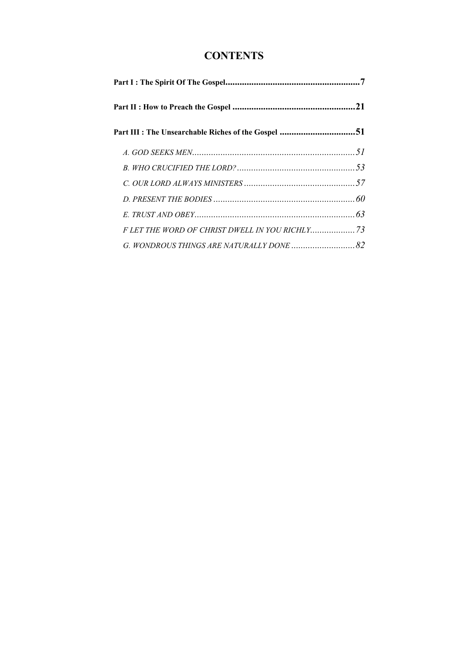# **CONTENTS**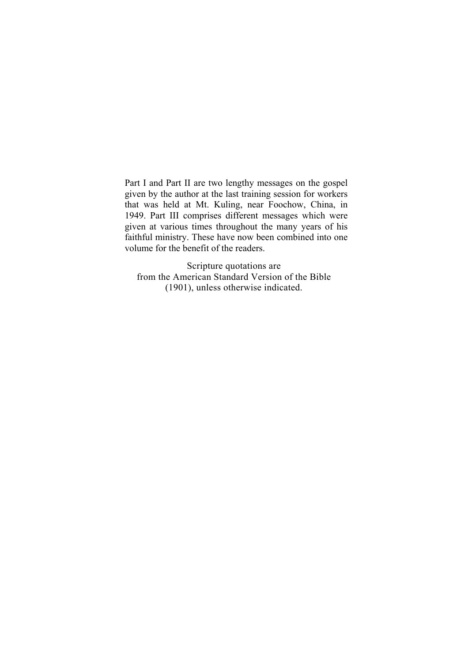Part I and Part II are two lengthy messages on the gospel given by the author at the last training session for workers that was held at Mt. Kuling, near Foochow, China, in 1949. Part III comprises different messages which were given at various times throughout the many years of his faithful ministry. These have now been combined into one volume for the benefit of the readers.

Scripture quotations are from the American Standard Version of the Bible (1901), unless otherwise indicated.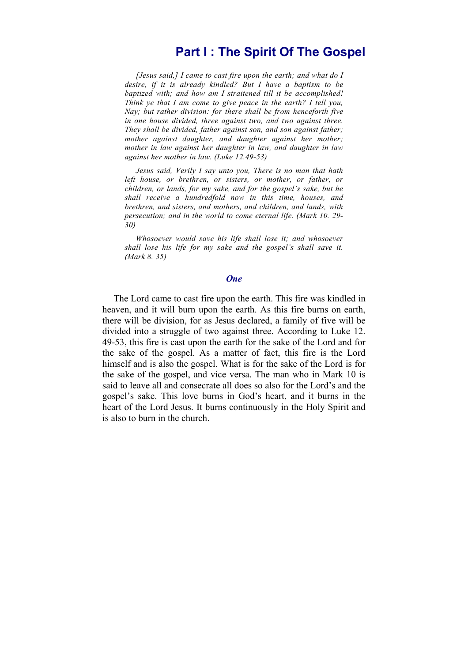# **Part I : The Spirit Of The Gospel**

<span id="page-6-0"></span>*[Jesus said,] I came to cast fire upon the earth; and what do I desire, if it is already kindled? But I have a baptism to be baptized with; and how am I straitened till it be accomplished! Think ye that I am come to give peace in the earth? I tell you, Nay; but rather division: for there shall be from henceforth five in one house divided, three against two, and two against three. They shall be divided, father against son, and son against father; mother against daughter, and daughter against her mother; mother in law against her daughter in law, and daughter in law against her mother in law. (Luke 12.49-53)* 

*Jesus said, Verily I say unto you, There is no man that hath left house, or brethren, or sisters, or mother, or father, or children, or lands, for my sake, and for the gospel's sake, but he shall receive a hundredfold now in this time, houses, and brethren, and sisters, and mothers, and children, and lands, with persecution; and in the world to come eternal life. (Mark 10. 29- 30)* 

*Whosoever would save his life shall lose it; and whosoever shall lose his life for my sake and the gospel's shall save it. (Mark 8. 35)* 

#### *One*

The Lord came to cast fire upon the earth. This fire was kindled in heaven, and it will burn upon the earth. As this fire burns on earth, there will be division, for as Jesus declared, a family of five will be divided into a struggle of two against three. According to Luke 12. 49-53, this fire is cast upon the earth for the sake of the Lord and for the sake of the gospel. As a matter of fact, this fire is the Lord himself and is also the gospel. What is for the sake of the Lord is for the sake of the gospel, and vice versa. The man who in Mark 10 is said to leave all and consecrate all does so also for the Lord's and the gospel's sake. This love burns in God's heart, and it burns in the heart of the Lord Jesus. It burns continuously in the Holy Spirit and is also to burn in the church.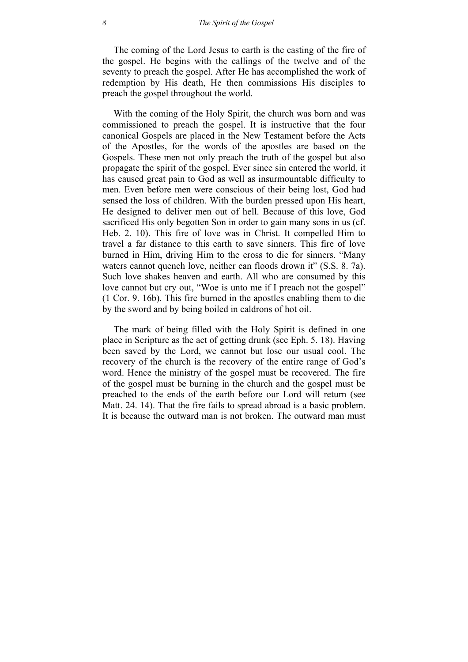The coming of the Lord Jesus to earth is the casting of the fire of the gospel. He begins with the callings of the twelve and of the seventy to preach the gospel. After He has accomplished the work of redemption by His death, He then commissions His disciples to preach the gospel throughout the world.

With the coming of the Holy Spirit, the church was born and was commissioned to preach the gospel. It is instructive that the four canonical Gospels are placed in the New Testament before the Acts of the Apostles, for the words of the apostles are based on the Gospels. These men not only preach the truth of the gospel but also propagate the spirit of the gospel. Ever since sin entered the world, it has caused great pain to God as well as insurmountable difficulty to men. Even before men were conscious of their being lost, God had sensed the loss of children. With the burden pressed upon His heart, He designed to deliver men out of hell. Because of this love, God sacrificed His only begotten Son in order to gain many sons in us (cf. Heb. 2. 10). This fire of love was in Christ. It compelled Him to travel a far distance to this earth to save sinners. This fire of love burned in Him, driving Him to the cross to die for sinners. "Many waters cannot quench love, neither can floods drown it" (S.S. 8. 7a). Such love shakes heaven and earth. All who are consumed by this love cannot but cry out, "Woe is unto me if I preach not the gospel" (1 Cor. 9. 16b). This fire burned in the apostles enabling them to die by the sword and by being boiled in caldrons of hot oil.

The mark of being filled with the Holy Spirit is defined in one place in Scripture as the act of getting drunk (see Eph. 5. 18). Having been saved by the Lord, we cannot but lose our usual cool. The recovery of the church is the recovery of the entire range of God's word. Hence the ministry of the gospel must be recovered. The fire of the gospel must be burning in the church and the gospel must be preached to the ends of the earth before our Lord will return (see Matt. 24. 14). That the fire fails to spread abroad is a basic problem. It is because the outward man is not broken. The outward man must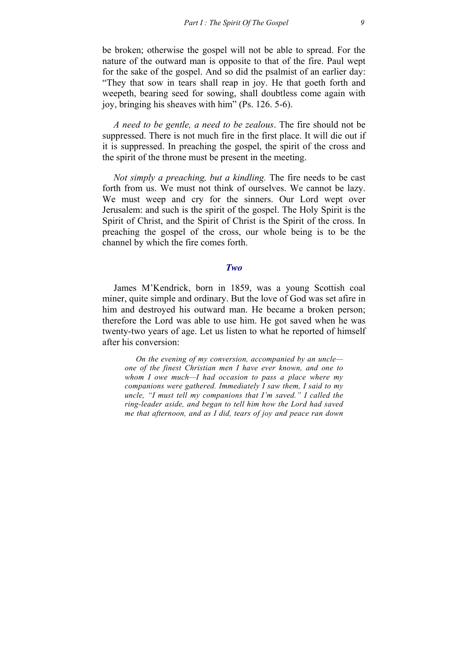be broken; otherwise the gospel will not be able to spread. For the nature of the outward man is opposite to that of the fire. Paul wept for the sake of the gospel. And so did the psalmist of an earlier day: "They that sow in tears shall reap in joy. He that goeth forth and weepeth, bearing seed for sowing, shall doubtless come again with joy, bringing his sheaves with him" (Ps. 126. 5-6).

*A need to be gentle, a need to be zealous*. The fire should not be suppressed. There is not much fire in the first place. It will die out if it is suppressed. In preaching the gospel, the spirit of the cross and the spirit of the throne must be present in the meeting.

*Not simply a preaching, but a kindling.* The fire needs to be cast forth from us. We must not think of ourselves. We cannot be lazy. We must weep and cry for the sinners. Our Lord wept over Jerusalem: and such is the spirit of the gospel. The Holy Spirit is the Spirit of Christ, and the Spirit of Christ is the Spirit of the cross. In preaching the gospel of the cross, our whole being is to be the channel by which the fire comes forth.

### *Two*

James M'Kendrick, born in 1859, was a young Scottish coal miner, quite simple and ordinary. But the love of God was set afire in him and destroyed his outward man. He became a broken person; therefore the Lord was able to use him. He got saved when he was twenty-two years of age. Let us listen to what he reported of himself after his conversion:

*On the evening of my conversion, accompanied by an uncle one of the finest Christian men I have ever known, and one to whom I owe much—I had occasion to pass a place where my companions were gathered. Immediately I saw them, I said to my uncle, "I must tell my companions that I'm saved." I called the ring-leader aside, and began to tell him how the Lord had saved me that afternoon, and as I did, tears of joy and peace ran down*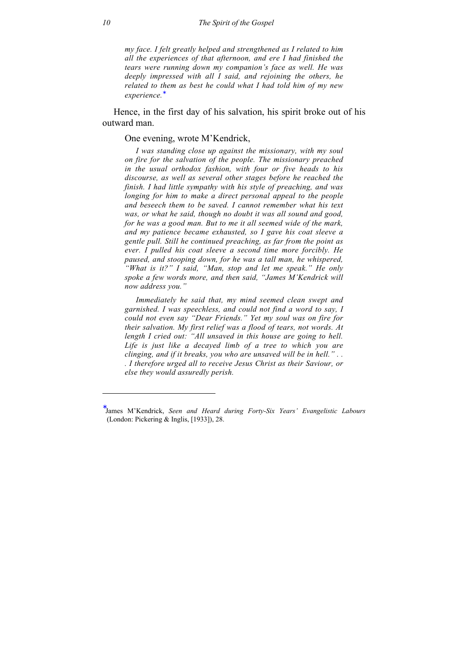*my face. I felt greatly helped and strengthened as I related to him all the experiences of that afternoon, and ere I had finished the tears were running down my companion's face as well. He was deeply impressed with all I said, and rejoining the others, he related to them as best he could what I had told him of my new experience.*<sup>∗</sup>

Hence, in the first day of his salvation, his spirit broke out of his outward man.

#### One evening, wrote M'Kendrick,

*I was standing close up against the missionary, with my soul on fire for the salvation of the people. The missionary preached in the usual orthodox fashion, with four or five heads to his discourse, as well as several other stages before he reached the finish. I had little sympathy with his style of preaching, and was longing for him to make a direct personal appeal to the people and beseech them to be saved. I cannot remember what his text was, or what he said, though no doubt it was all sound and good, for he was a good man. But to me it all seemed wide of the mark, and my patience became exhausted, so I gave his coat sleeve a gentle pull. Still he continued preaching, as far from the point as ever. I pulled his coat sleeve a second time more forcibly. He paused, and stooping down, for he was a tall man, he whispered, "What is it?" I said, "Man, stop and let me speak." He only spoke a few words more, and then said, "James M'Kendrick will now address you."* 

*Immediately he said that, my mind seemed clean swept and garnished. I was speechless, and could not find a word to say, I could not even say "Dear Friends." Yet my soul was on fire for their salvation. My first relief was a flood of tears, not words. At length I cried out: "All unsaved in this house are going to hell. Life is just like a decayed limb of a tree to which you are clinging, and if it breaks, you who are unsaved will be in hell." . . . I therefore urged all to receive Jesus Christ as their Saviour, or else they would assuredly perish.* 

1

<sup>∗</sup> James M'Kendrick, *Seen and Heard during Forty-Six Years' Evangelistic Labours* (London: Pickering & Inglis, [1933]), 28.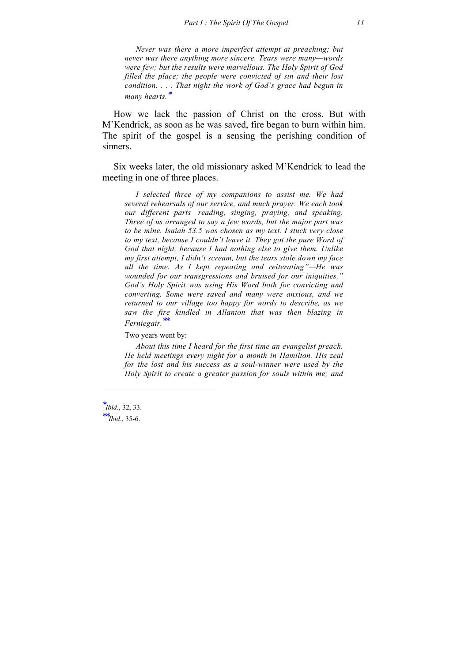*Never was there a more imperfect attempt at preaching; but never was there anything more sincere. Tears were many—words were few; but the results were marvellous. The Holy Spirit of God filled the place; the people were convicted of sin and their lost condition. . . . That night the work of God's grace had begun in many hearts.*<sup>∗</sup>

How we lack the passion of Christ on the cross. But with M'Kendrick, as soon as he was saved, fire began to burn within him. The spirit of the gospel is a sensing the perishing condition of sinners.

Six weeks later, the old missionary asked M'Kendrick to lead the meeting in one of three places.

*I selected three of my companions to assist me. We had several rehearsals of our service, and much prayer. We each took our different parts—reading, singing, praying, and speaking. Three of us arranged to say a few words, but the major part was to be mine. Isaiah 53.5 was chosen as my text. I stuck very close to my text, because I couldn't leave it. They got the pure Word of God that night, because I had nothing else to give them. Unlike my first attempt, I didn't scream, but the tears stole down my face all the time. As I kept repeating and reiterating"—He was wounded for our transgressions and bruised for our iniquities," God's Holy Spirit was using His Word both for convicting and converting. Some were saved and many were anxious, and we returned to our village too happy for words to describe, as we saw the fire kindled in Allanton that was then blazing in Ferniegair.*∗∗

Two years went by:

*About this time I heard for the first time an evangelist preach. He held meetings every night for a month in Hamilton. His zeal for the lost and his success as a soul-winner were used by the Holy Spirit to create a greater passion for souls within me; and* 

-

<sup>∗</sup> *Ibid*., 32, 33.

<sup>∗∗</sup>*Ibid*., 35-6.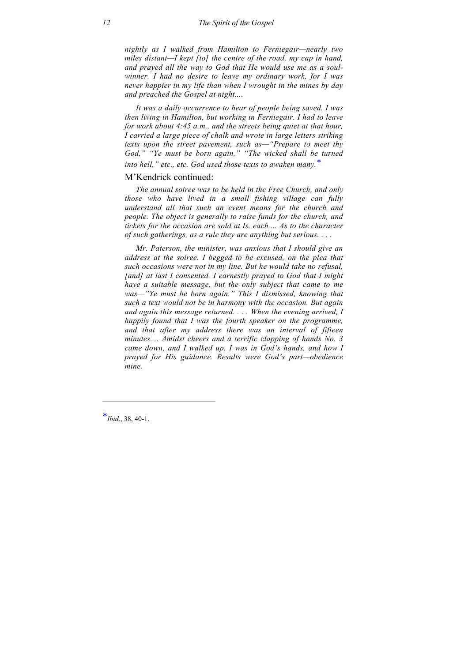*nightly as I walked from Hamilton to Ferniegair—nearly two miles distant—I kept [to] the centre of the road, my cap in hand, and prayed all the way to God that He would use me as a soulwinner. I had no desire to leave my ordinary work, for I was never happier in my life than when I wrought in the mines by day and preached the Gospel at night....* 

*It was a daily occurrence to hear of people being saved. I was then living in Hamilton, but working in Ferniegair. I had to leave for work about 4:45 a.m., and the streets being quiet at that hour, I carried a large piece of chalk and wrote in large letters striking texts upon the street pavement, such as—"Prepare to meet thy God," "Ye must be born again," "The wicked shall be turned into hell," etc., etc. God used those texts to awaken many.*<sup>∗</sup>

### M'Kendrick continued:

*The annual soiree was to be held in the Free Church, and only those who have lived in a small fishing village can fully understand all that such an event means for the church and people. The object is generally to raise funds for the church, and tickets for the occasion are sold at Is. each.... As to the character of such gatherings, as a rule they are anything but serious. . . .* 

*Mr. Paterson, the minister, was anxious that I should give an address at the soiree. I begged to be excused, on the plea that such occasions were not in my line. But he would take no refusal, [and] at last I consented. I earnestly prayed to God that I might have a suitable message, but the only subject that came to me was—"Ye must be born again." This I dismissed, knowing that such a text would not be in harmony with the occasion. But again and again this message returned. . . . When the evening arrived, I happily found that I was the fourth speaker on the programme, and that after my address there was an interval of fifteen minutes.... Amidst cheers and a terrific clapping of hands No. 3 came down, and I walked up. I was in God's hands, and how I prayed for His guidance. Results were God's part—obedience mine.* 

-

<sup>∗</sup> *Ibid*., 38, 40-1.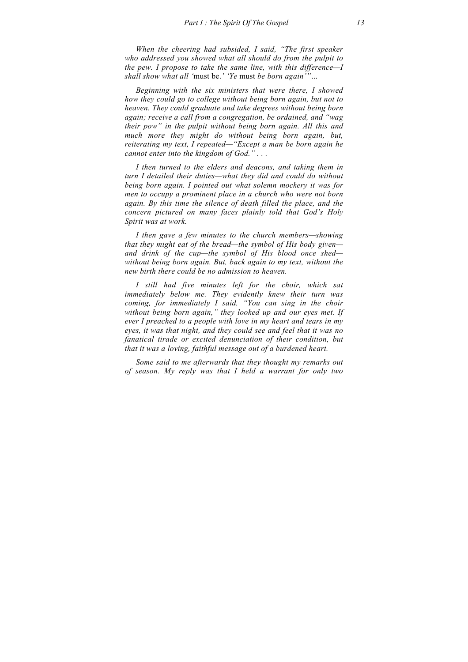*When the cheering had subsided, I said, "The first speaker who addressed you showed what all should do from the pulpit to the pew. I propose to take the same line, with this difference—I shall show what all '*must be.*' 'Ye* must *be born again'"…* 

*Beginning with the six ministers that were there, I showed how they could go to college without being born again, but not to heaven. They could graduate and take degrees without being born again; receive a call from a congregation, be ordained, and "wag their pow" in the pulpit without being born again. All this and much more they might do without being born again, but, reiterating my text, I repeated—"Except a man be born again he cannot enter into the kingdom of God." . . .* 

*I then turned to the elders and deacons, and taking them in turn I detailed their duties—what they did and could do without being born again. I pointed out what solemn mockery it was for men to occupy a prominent place in a church who were not born again. By this time the silence of death filled the place, and the concern pictured on many faces plainly told that God's Holy Spirit was at work.* 

*I then gave a few minutes to the church members—showing that they might eat of the bread—the symbol of His body given and drink of the cup—the symbol of His blood once shed without being born again. But, back again to my text, without the new birth there could be no admission to heaven.* 

*I still had five minutes left for the choir, which sat immediately below me. They evidently knew their turn was coming, for immediately I said, "You can sing in the choir without being born again," they looked up and our eyes met. If ever I preached to a people with love in my heart and tears in my eyes, it was that night, and they could see and feel that it was no fanatical tirade or excited denunciation of their condition, but that it was a loving, faithful message out of a burdened heart.* 

*Some said to me afterwards that they thought my remarks out of season. My reply was that I held a warrant for only two*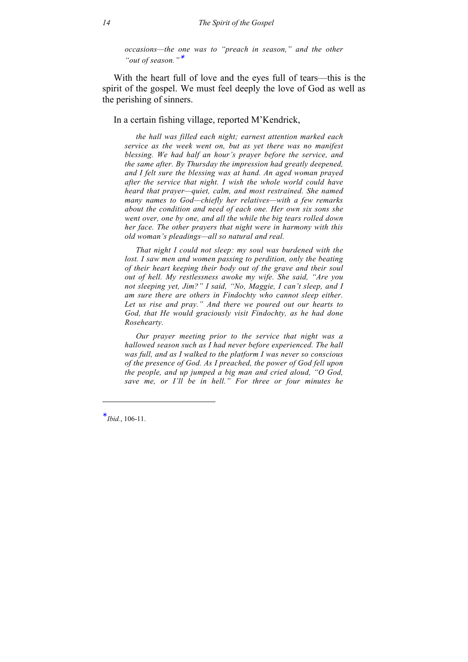*occasions—the one was to "preach in season," and the other "out of season."*<sup>∗</sup>

With the heart full of love and the eyes full of tears—this is the spirit of the gospel. We must feel deeply the love of God as well as the perishing of sinners.

In a certain fishing village, reported M'Kendrick,

*the hall was filled each night; earnest attention marked each service as the week went on, but as yet there was no manifest blessing. We had half an hour's prayer before the service, and the same after. By Thursday the impression had greatly deepened, and I felt sure the blessing was at hand. An aged woman prayed after the service that night. I wish the whole world could have heard that prayer—quiet, calm, and most restrained. She named many names to God—chiefly her relatives—with a few remarks about the condition and need of each one. Her own six sons she went over, one by one, and all the while the big tears rolled down her face. The other prayers that night were in harmony with this old woman's pleadings—all so natural and real.* 

*That night I could not sleep: my soul was burdened with the lost. I saw men and women passing to perdition, only the beating of their heart keeping their body out of the grave and their soul out of hell. My restlessness awoke my wife. She said, "Are you not sleeping yet, Jim?" I said, "No, Maggie, I can't sleep, and I am sure there are others in Findochty who cannot sleep either. Let us rise and pray." And there we poured out our hearts to God, that He would graciously visit Findochty, as he had done Rosehearty.* 

*Our prayer meeting prior to the service that night was a hallowed season such as I had never before experienced. The hall was full, and as I walked to the platform I was never so conscious of the presence of God. As I preached, the power of God fell upon the people, and up jumped a big man and cried aloud, "O God, save me, or I'll be in hell." For three or four minutes he* 

-

<sup>∗</sup> *Ibid.*, 106-11.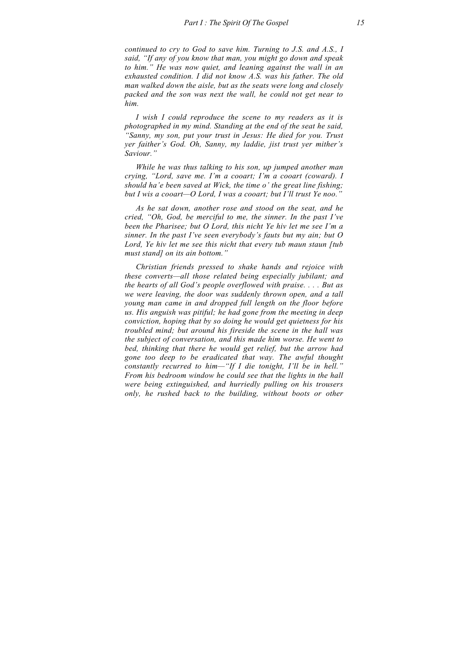*continued to cry to God to save him. Turning to J.S. and A.S., I said, "If any of you know that man, you might go down and speak to him." He was now quiet, and leaning against the wall in an exhausted condition. I did not know A.S. was his father. The old man walked down the aisle, but as the seats were long and closely packed and the son was next the wall, he could not get near to him.* 

*I wish I could reproduce the scene to my readers as it is photographed in my mind. Standing at the end of the seat he said, "Sanny, my son, put your trust in Jesus: He died for you. Trust yer faither's God. Oh, Sanny, my laddie, jist trust yer mither's Saviour."* 

*While he was thus talking to his son, up jumped another man crying, "Lord, save me. I'm a cooart; I'm a cooart (coward). I should ha'e been saved at Wick, the time o' the great line fishing; but I wis a cooart—O Lord, I was a cooart; but I'll trust Ye noo."* 

*As he sat down, another rose and stood on the seat, and he cried, "Oh, God, be merciful to me, the sinner. In the past I've been the Pharisee; but O Lord, this nicht Ye hiv let me see I'm a sinner. In the past I've seen everybody's fauts but my ain; but O Lord, Ye hiv let me see this nicht that every tub maun staun [tub must stand] on its ain bottom."* 

*Christian friends pressed to shake hands and rejoice with these converts—all those related being especially jubilant; and the hearts of all God's people overflowed with praise. . . . But as we were leaving, the door was suddenly thrown open, and a tall young man came in and dropped full length on the floor before us. His anguish was pitiful; he had gone from the meeting in deep conviction, hoping that by so doing he would get quietness for his troubled mind; but around his fireside the scene in the hall was the subject of conversation, and this made him worse. He went to bed, thinking that there he would get relief, but the arrow had gone too deep to be eradicated that way. The awful thought constantly recurred to him—"If I die tonight, I'll be in hell." From his bedroom window he could see that the lights in the hall were being extinguished, and hurriedly pulling on his trousers only, he rushed back to the building, without boots or other*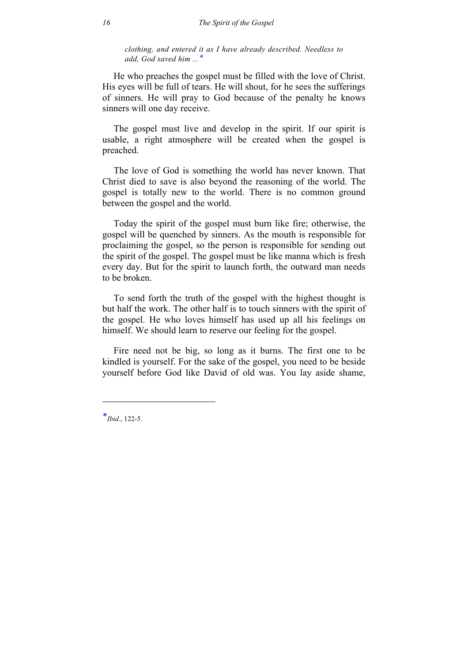*clothing, and entered it as I have already described. Needless to add, God saved him ...*<sup>∗</sup>

He who preaches the gospel must be filled with the love of Christ. His eyes will be full of tears. He will shout, for he sees the sufferings of sinners. He will pray to God because of the penalty he knows sinners will one day receive.

The gospel must live and develop in the spirit. If our spirit is usable, a right atmosphere will be created when the gospel is preached.

The love of God is something the world has never known. That Christ died to save is also beyond the reasoning of the world. The gospel is totally new to the world. There is no common ground between the gospel and the world.

Today the spirit of the gospel must burn like fire; otherwise, the gospel will be quenched by sinners. As the mouth is responsible for proclaiming the gospel, so the person is responsible for sending out the spirit of the gospel. The gospel must be like manna which is fresh every day. But for the spirit to launch forth, the outward man needs to be broken.

To send forth the truth of the gospel with the highest thought is but half the work. The other half is to touch sinners with the spirit of the gospel. He who loves himself has used up all his feelings on himself. We should learn to reserve our feeling for the gospel.

Fire need not be big, so long as it burns. The first one to be kindled is yourself. For the sake of the gospel, you need to be beside yourself before God like David of old was. You lay aside shame,

-

<sup>∗</sup> *Ibid*., 122-5.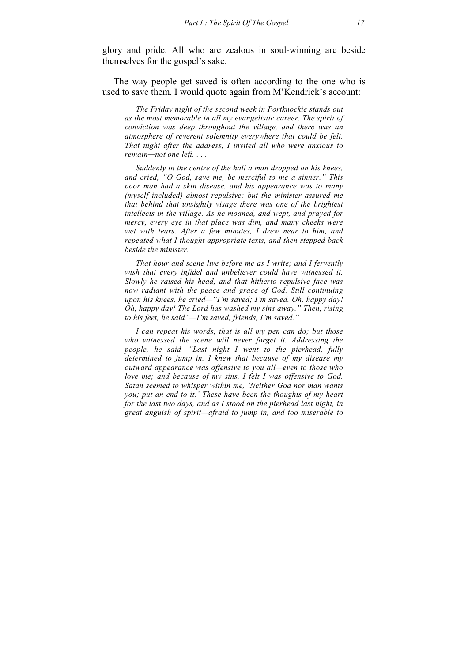glory and pride. All who are zealous in soul-winning are beside themselves for the gospel's sake.

The way people get saved is often according to the one who is used to save them. I would quote again from M'Kendrick's account:

*The Friday night of the second week in Portknockie stands out as the most memorable in all my evangelistic career. The spirit of conviction was deep throughout the village, and there was an atmosphere of reverent solemnity everywhere that could be felt. That night after the address, I invited all who were anxious to remain—not one left. . . .* 

*Suddenly in the centre of the hall a man dropped on his knees, and cried, "O God, save me, be merciful to me a sinner." This poor man had a skin disease, and his appearance was to many (myself included) almost repulsive; but the minister assured me that behind that unsightly visage there was one of the brightest intellects in the village. As he moaned, and wept, and prayed for mercy, every eye in that place was dim, and many cheeks were wet with tears. After a few minutes, I drew near to him, and repeated what I thought appropriate texts, and then stepped back beside the minister.* 

*That hour and scene live before me as I write; and I fervently wish that every infidel and unbeliever could have witnessed it. Slowly he raised his head, and that hitherto repulsive face was now radiant with the peace and grace of God. Still continuing upon his knees, he cried—"I'm saved; I'm saved. Oh, happy day! Oh, happy day! The Lord has washed my sins away." Then, rising to his feet, he said"—I'm saved, friends, I'm saved."* 

*I can repeat his words, that is all my pen can do; but those who witnessed the scene will never forget it. Addressing the people, he said—"Last night I went to the pierhead, fully determined to jump in. I knew that because of my disease my outward appearance was offensive to you all—even to those who love me; and because of my sins, I felt I was offensive to God. Satan seemed to whisper within me, `Neither God nor man wants you; put an end to it.' These have been the thoughts of my heart for the last two days, and as I stood on the pierhead last night, in great anguish of spirit—afraid to jump in, and too miserable to*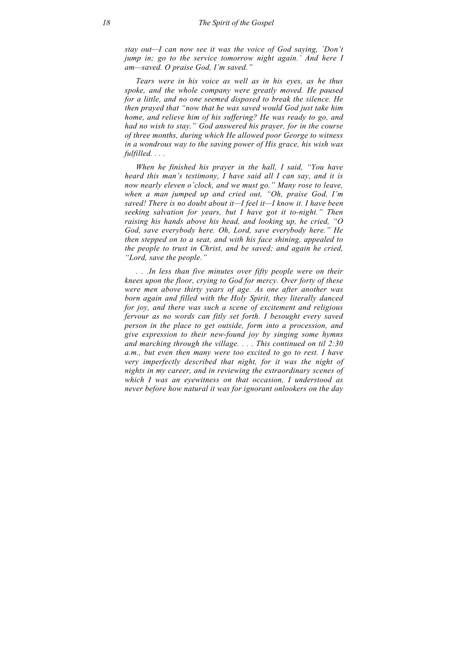*stay out—I can now see it was the voice of God saying, `Don't jump in; go to the service tomorrow night again.' And here I am—saved. O praise God, I'm saved."* 

*Tears were in his voice as well as in his eyes, as he thus spoke, and the whole company were greatly moved. He paused for a little, and no one seemed disposed to break the silence. He then prayed that "now that he was saved would God just take him home, and relieve him of his suffering? He was ready to go, and had no wish to stay." God answered his prayer, for in the course of three months, during which He allowed poor George to witness in a wondrous way to the saving power of His grace, his wish was fulfilled. . . .* 

*When he finished his prayer in the hall, I said, "You have heard this man's testimony, I have said all I can say, and it is now nearly eleven o'clock, and we must go." Many rose to leave, when a man jumped up and cried out, "Oh, praise God, I'm saved! There is no doubt about it—I feel it—I know it. I have been seeking salvation for years, but I have got it to-night." Then raising his hands above his head, and looking up, he cried, "O God, save everybody here. Oh, Lord, save everybody here." He then stepped on to a seat, and with his face shining, appealed to the people to trust in Christ, and be saved; and again he cried, "Lord, save the people."* 

*. . .In less than five minutes over fifty people were on their knees upon the floor, crying to God for mercy. Over forty of these were men above thirty years of age. As one after another was born again and filled with the Holy Spirit, they literally danced for joy, and there was such a scene of excitement and religious fervour as no words can fitly set forth. I besought every saved person in the place to get outside, form into a procession, and give expression to their new-found joy by singing some hymns and marching through the village. . . . This continued on til 2:30 a.m., but even then many were too excited to go to rest. I have very imperfectly described that night, for it was the night of nights in my career, and in reviewing the extraordinary scenes of which I was an eyewitness on that occasion, I understood as never before how natural it was for ignorant onlookers on the day*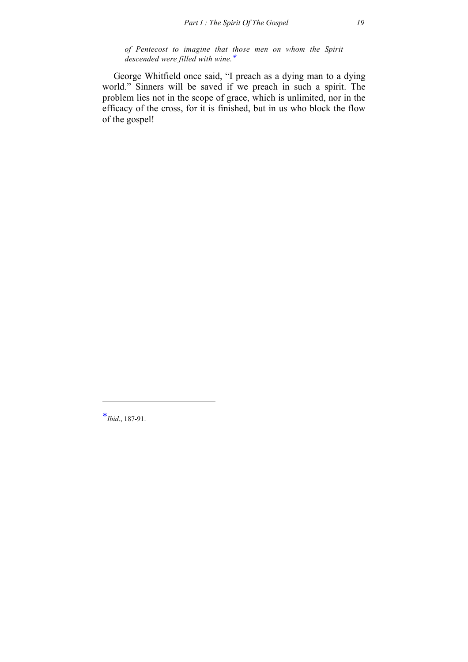*of Pentecost to imagine that those men on whom the Spirit descended were filled with wine.*<sup>∗</sup>

George Whitfield once said, "I preach as a dying man to a dying world." Sinners will be saved if we preach in such a spirit. The problem lies not in the scope of grace, which is unlimited, nor in the efficacy of the cross, for it is finished, but in us who block the flow of the gospel!

-

<sup>∗</sup> *Ibid*., 187-91.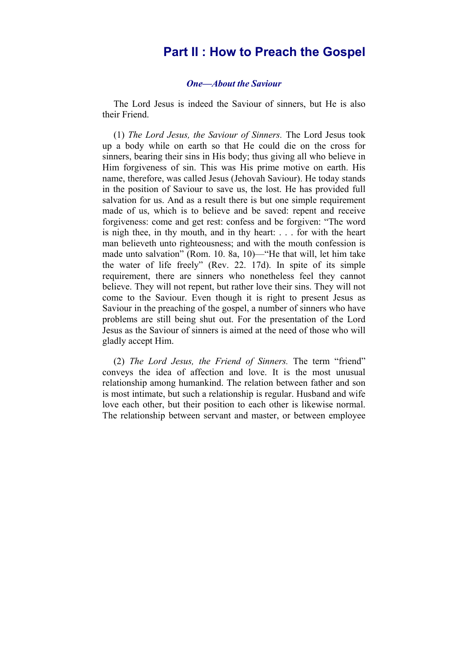# **Part II : How to Preach the Gospel**

#### *One—About the Saviour*

<span id="page-20-0"></span>The Lord Jesus is indeed the Saviour of sinners, but He is also their Friend.

(1) *The Lord Jesus, the Saviour of Sinners.* The Lord Jesus took up a body while on earth so that He could die on the cross for sinners, bearing their sins in His body; thus giving all who believe in Him forgiveness of sin. This was His prime motive on earth. His name, therefore, was called Jesus (Jehovah Saviour). He today stands in the position of Saviour to save us, the lost. He has provided full salvation for us. And as a result there is but one simple requirement made of us, which is to believe and be saved: repent and receive forgiveness: come and get rest: confess and be forgiven: "The word is nigh thee, in thy mouth, and in thy heart: . . . for with the heart man believeth unto righteousness; and with the mouth confession is made unto salvation" (Rom. 10. 8a, 10)—"He that will, let him take the water of life freely" (Rev. 22. 17d). In spite of its simple requirement, there are sinners who nonetheless feel they cannot believe. They will not repent, but rather love their sins. They will not come to the Saviour. Even though it is right to present Jesus as Saviour in the preaching of the gospel, a number of sinners who have problems are still being shut out. For the presentation of the Lord Jesus as the Saviour of sinners is aimed at the need of those who will gladly accept Him.

(2) *The Lord Jesus, the Friend of Sinners.* The term "friend" conveys the idea of affection and love. It is the most unusual relationship among humankind. The relation between father and son is most intimate, but such a relationship is regular. Husband and wife love each other, but their position to each other is likewise normal. The relationship between servant and master, or between employee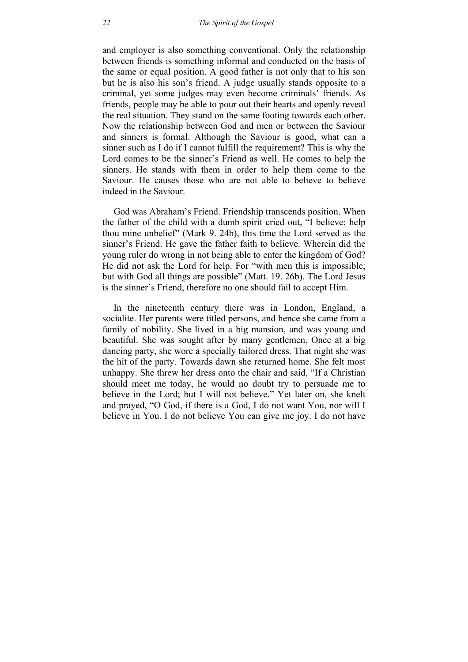and employer is also something conventional. Only the relationship between friends is something informal and conducted on the basis of the same or equal position. A good father is not only that to his son but he is also his son's friend. A judge usually stands opposite to a criminal, yet some judges may even become criminals' friends. As friends, people may be able to pour out their hearts and openly reveal the real situation. They stand on the same footing towards each other. Now the relationship between God and men or between the Saviour and sinners is formal. Although the Saviour is good, what can a sinner such as I do if I cannot fulfill the requirement? This is why the Lord comes to be the sinner's Friend as well. He comes to help the sinners. He stands with them in order to help them come to the Saviour. He causes those who are not able to believe to believe indeed in the Saviour.

God was Abraham's Friend. Friendship transcends position. When the father of the child with a dumb spirit cried out, "I believe; help thou mine unbelief" (Mark 9. 24b), this time the Lord served as the sinner's Friend. He gave the father faith to believe. Wherein did the young ruler do wrong in not being able to enter the kingdom of God? He did not ask the Lord for help. For "with men this is impossible; but with God all things are possible" (Matt. 19. 26b). The Lord Jesus is the sinner's Friend, therefore no one should fail to accept Him.

In the nineteenth century there was in London, England, a socialite. Her parents were titled persons, and hence she came from a family of nobility. She lived in a big mansion, and was young and beautiful. She was sought after by many gentlemen. Once at a big dancing party, she wore a specially tailored dress. That night she was the hit of the party. Towards dawn she returned home. She felt most unhappy. She threw her dress onto the chair and said, "If a Christian should meet me today, he would no doubt try to persuade me to believe in the Lord; but I will not believe." Yet later on, she knelt and prayed, "O God, if there is a God, I do not want You, nor will I believe in You. I do not believe You can give me joy. I do not have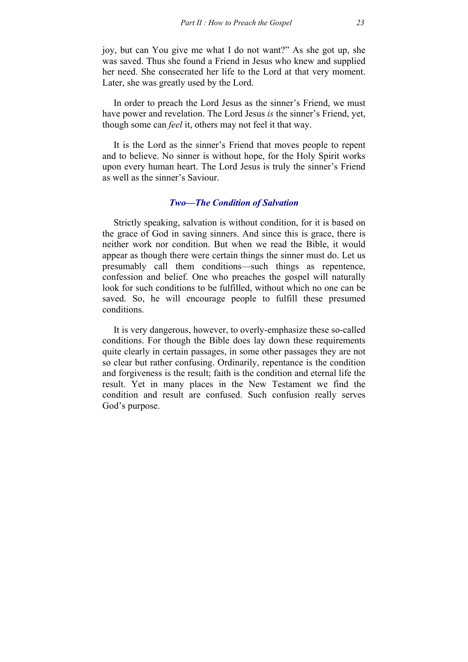joy, but can You give me what I do not want?" As she got up, she was saved. Thus she found a Friend in Jesus who knew and supplied her need. She consecrated her life to the Lord at that very moment. Later, she was greatly used by the Lord.

In order to preach the Lord Jesus as the sinner's Friend, we must have power and revelation. The Lord Jesus *is* the sinner's Friend, yet, though some can *feel* it, others may not feel it that way.

It is the Lord as the sinner's Friend that moves people to repent and to believe. No sinner is without hope, for the Holy Spirit works upon every human heart. The Lord Jesus is truly the sinner's Friend as well as the sinner's Saviour.

## *Two—The Condition of Salvation*

Strictly speaking, salvation is without condition, for it is based on the grace of God in saving sinners. And since this is grace, there is neither work nor condition. But when we read the Bible, it would appear as though there were certain things the sinner must do. Let us presumably call them conditions—such things as repentence, confession and belief. One who preaches the gospel will naturally look for such conditions to be fulfilled, without which no one can be saved. So, he will encourage people to fulfill these presumed conditions.

It is very dangerous, however, to overly-emphasize these so-called conditions. For though the Bible does lay down these requirements quite clearly in certain passages, in some other passages they are not so clear but rather confusing. Ordinarily, repentance is the condition and forgiveness is the result; faith is the condition and eternal life the result. Yet in many places in the New Testament we find the condition and result are confused. Such confusion really serves God's purpose.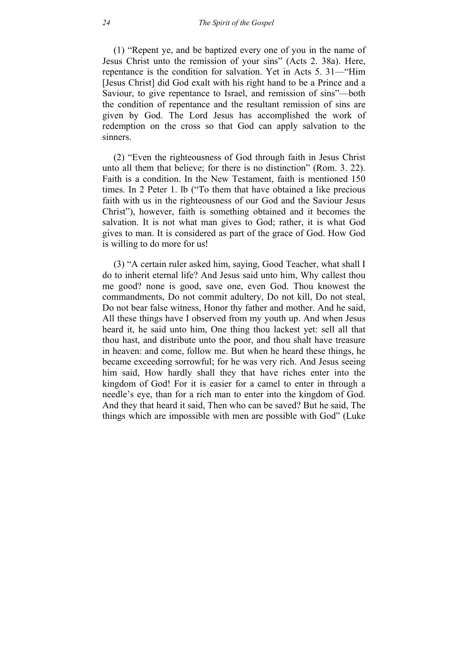(1) "Repent ye, and be baptized every one of you in the name of Jesus Christ unto the remission of your sins" (Acts 2. 38a). Here, repentance is the condition for salvation. Yet in Acts 5. 31—"Him [Jesus Christ] did God exalt with his right hand to be a Prince and a Saviour, to give repentance to Israel, and remission of sins"—both the condition of repentance and the resultant remission of sins are given by God. The Lord Jesus has accomplished the work of redemption on the cross so that God can apply salvation to the sinners.

(2) "Even the righteousness of God through faith in Jesus Christ unto all them that believe; for there is no distinction" (Rom. 3. 22). Faith is a condition. In the New Testament, faith is mentioned 150 times. In 2 Peter 1. lb ("To them that have obtained a like precious faith with us in the righteousness of our God and the Saviour Jesus Christ"), however, faith is something obtained and it becomes the salvation. It is not what man gives to God; rather, it is what God gives to man. It is considered as part of the grace of God. How God is willing to do more for us!

(3) "A certain ruler asked him, saying, Good Teacher, what shall I do to inherit eternal life? And Jesus said unto him, Why callest thou me good? none is good, save one, even God. Thou knowest the commandments, Do not commit adultery, Do not kill, Do not steal, Do not bear false witness, Honor thy father and mother. And he said, All these things have I observed from my youth up. And when Jesus heard it, he said unto him, One thing thou lackest yet: sell all that thou hast, and distribute unto the poor, and thou shalt have treasure in heaven: and come, follow me. But when he heard these things, he became exceeding sorrowful; for he was very rich. And Jesus seeing him said, How hardly shall they that have riches enter into the kingdom of God! For it is easier for a camel to enter in through a needle's eye, than for a rich man to enter into the kingdom of God. And they that heard it said, Then who can be saved? But he said, The things which are impossible with men are possible with God" (Luke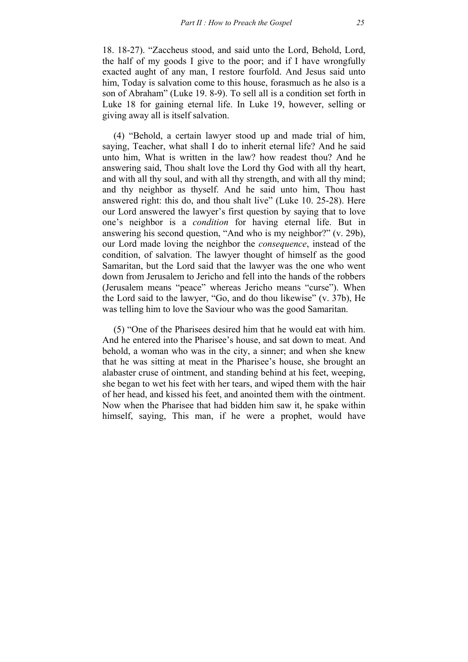18. 18-27). "Zaccheus stood, and said unto the Lord, Behold, Lord, the half of my goods I give to the poor; and if I have wrongfully exacted aught of any man, I restore fourfold. And Jesus said unto him, Today is salvation come to this house, forasmuch as he also is a son of Abraham" (Luke 19. 8-9). To sell all is a condition set forth in Luke 18 for gaining eternal life. In Luke 19, however, selling or giving away all is itself salvation.

(4) "Behold, a certain lawyer stood up and made trial of him, saying, Teacher, what shall I do to inherit eternal life? And he said unto him, What is written in the law? how readest thou? And he answering said, Thou shalt love the Lord thy God with all thy heart, and with all thy soul, and with all thy strength, and with all thy mind; and thy neighbor as thyself. And he said unto him, Thou hast answered right: this do, and thou shalt live" (Luke 10. 25-28). Here our Lord answered the lawyer's first question by saying that to love one's neighbor is a *condition* for having eternal life. But in answering his second question, "And who is my neighbor?" (v. 29b), our Lord made loving the neighbor the *consequence*, instead of the condition, of salvation. The lawyer thought of himself as the good Samaritan, but the Lord said that the lawyer was the one who went down from Jerusalem to Jericho and fell into the hands of the robbers (Jerusalem means "peace" whereas Jericho means "curse"). When the Lord said to the lawyer, "Go, and do thou likewise" (v. 37b), He was telling him to love the Saviour who was the good Samaritan.

(5) "One of the Pharisees desired him that he would eat with him. And he entered into the Pharisee's house, and sat down to meat. And behold, a woman who was in the city, a sinner; and when she knew that he was sitting at meat in the Pharisee's house, she brought an alabaster cruse of ointment, and standing behind at his feet, weeping, she began to wet his feet with her tears, and wiped them with the hair of her head, and kissed his feet, and anointed them with the ointment. Now when the Pharisee that had bidden him saw it, he spake within himself, saying, This man, if he were a prophet, would have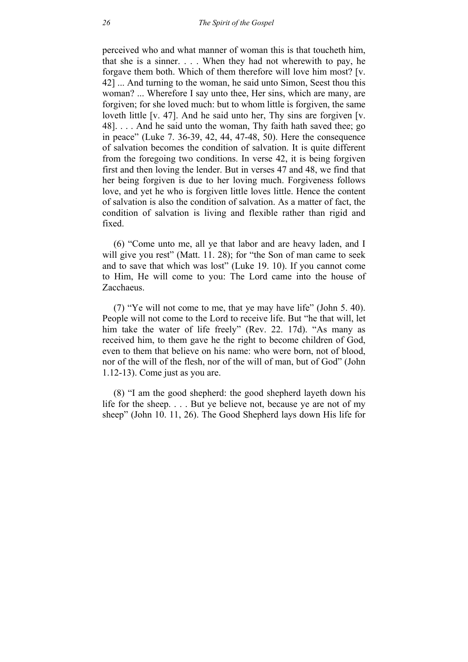perceived who and what manner of woman this is that toucheth him, that she is a sinner. . . . When they had not wherewith to pay, he forgave them both. Which of them therefore will love him most? [v. 42] ... And turning to the woman, he said unto Simon, Seest thou this woman? ... Wherefore I say unto thee, Her sins, which are many, are forgiven; for she loved much: but to whom little is forgiven, the same loveth little [v. 47]. And he said unto her, Thy sins are forgiven [v. 48]. . . . And he said unto the woman, Thy faith hath saved thee; go in peace" (Luke 7. 36-39, 42, 44, 47-48, 50). Here the consequence of salvation becomes the condition of salvation. It is quite different from the foregoing two conditions. In verse 42, it is being forgiven first and then loving the lender. But in verses 47 and 48, we find that her being forgiven is due to her loving much. Forgiveness follows love, and yet he who is forgiven little loves little. Hence the content of salvation is also the condition of salvation. As a matter of fact, the condition of salvation is living and flexible rather than rigid and fixed.

(6) "Come unto me, all ye that labor and are heavy laden, and I will give you rest" (Matt. 11, 28); for "the Son of man came to seek and to save that which was lost" (Luke 19. 10). If you cannot come to Him, He will come to you: The Lord came into the house of Zacchaeus.

(7) "Ye will not come to me, that ye may have life" (John 5. 40). People will not come to the Lord to receive life. But "he that will, let him take the water of life freely" (Rev. 22, 17d). "As many as received him, to them gave he the right to become children of God, even to them that believe on his name: who were born, not of blood, nor of the will of the flesh, nor of the will of man, but of God" (John 1.12-13). Come just as you are.

(8) "I am the good shepherd: the good shepherd layeth down his life for the sheep. . . . But ye believe not, because ye are not of my sheep" (John 10. 11, 26). The Good Shepherd lays down His life for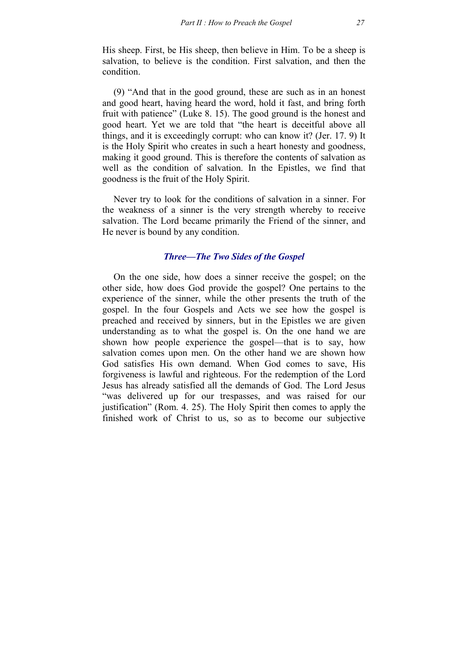His sheep. First, be His sheep, then believe in Him. To be a sheep is salvation, to believe is the condition. First salvation, and then the condition.

(9) "And that in the good ground, these are such as in an honest and good heart, having heard the word, hold it fast, and bring forth fruit with patience" (Luke 8. 15). The good ground is the honest and good heart. Yet we are told that "the heart is deceitful above all things, and it is exceedingly corrupt: who can know it? (Jer. 17. 9) It is the Holy Spirit who creates in such a heart honesty and goodness, making it good ground. This is therefore the contents of salvation as well as the condition of salvation. In the Epistles, we find that goodness is the fruit of the Holy Spirit.

Never try to look for the conditions of salvation in a sinner. For the weakness of a sinner is the very strength whereby to receive salvation. The Lord became primarily the Friend of the sinner, and He never is bound by any condition.

## *Three—The Two Sides of the Gospel*

On the one side, how does a sinner receive the gospel; on the other side, how does God provide the gospel? One pertains to the experience of the sinner, while the other presents the truth of the gospel. In the four Gospels and Acts we see how the gospel is preached and received by sinners, but in the Epistles we are given understanding as to what the gospel is. On the one hand we are shown how people experience the gospel—that is to say, how salvation comes upon men. On the other hand we are shown how God satisfies His own demand. When God comes to save, His forgiveness is lawful and righteous. For the redemption of the Lord Jesus has already satisfied all the demands of God. The Lord Jesus "was delivered up for our trespasses, and was raised for our justification" (Rom. 4. 25). The Holy Spirit then comes to apply the finished work of Christ to us, so as to become our subjective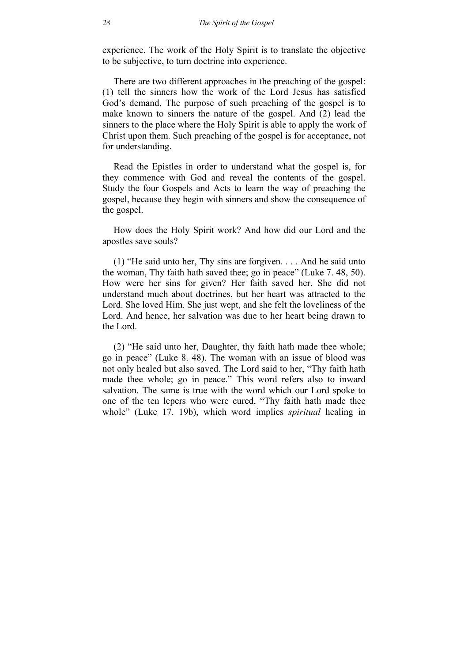experience. The work of the Holy Spirit is to translate the objective to be subjective, to turn doctrine into experience.

There are two different approaches in the preaching of the gospel: (1) tell the sinners how the work of the Lord Jesus has satisfied God's demand. The purpose of such preaching of the gospel is to make known to sinners the nature of the gospel. And (2) lead the sinners to the place where the Holy Spirit is able to apply the work of Christ upon them. Such preaching of the gospel is for acceptance, not for understanding.

Read the Epistles in order to understand what the gospel is, for they commence with God and reveal the contents of the gospel. Study the four Gospels and Acts to learn the way of preaching the gospel, because they begin with sinners and show the consequence of the gospel.

How does the Holy Spirit work? And how did our Lord and the apostles save souls?

(1) "He said unto her, Thy sins are forgiven. . . . And he said unto the woman, Thy faith hath saved thee; go in peace" (Luke 7. 48, 50). How were her sins for given? Her faith saved her. She did not understand much about doctrines, but her heart was attracted to the Lord. She loved Him. She just wept, and she felt the loveliness of the Lord. And hence, her salvation was due to her heart being drawn to the Lord.

(2) "He said unto her, Daughter, thy faith hath made thee whole; go in peace" (Luke 8. 48). The woman with an issue of blood was not only healed but also saved. The Lord said to her, "Thy faith hath made thee whole; go in peace." This word refers also to inward salvation. The same is true with the word which our Lord spoke to one of the ten lepers who were cured, "Thy faith hath made thee whole" (Luke 17. 19b), which word implies *spiritual* healing in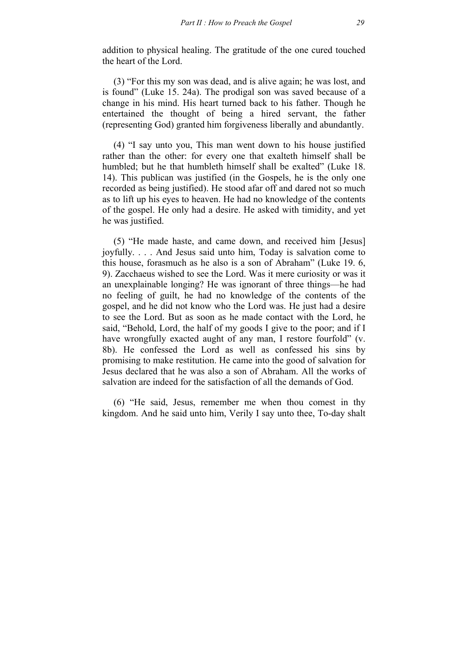addition to physical healing. The gratitude of the one cured touched the heart of the Lord.

(3) "For this my son was dead, and is alive again; he was lost, and is found" (Luke 15. 24a). The prodigal son was saved because of a change in his mind. His heart turned back to his father. Though he entertained the thought of being a hired servant, the father (representing God) granted him forgiveness liberally and abundantly.

(4) "I say unto you, This man went down to his house justified rather than the other: for every one that exalteth himself shall be humbled; but he that humbleth himself shall be exalted" (Luke 18. 14). This publican was justified (in the Gospels, he is the only one recorded as being justified). He stood afar off and dared not so much as to lift up his eyes to heaven. He had no knowledge of the contents of the gospel. He only had a desire. He asked with timidity, and yet he was justified.

(5) "He made haste, and came down, and received him [Jesus] joyfully. . . . And Jesus said unto him, Today is salvation come to this house, forasmuch as he also is a son of Abraham" (Luke 19. 6, 9). Zacchaeus wished to see the Lord. Was it mere curiosity or was it an unexplainable longing? He was ignorant of three things—he had no feeling of guilt, he had no knowledge of the contents of the gospel, and he did not know who the Lord was. He just had a desire to see the Lord. But as soon as he made contact with the Lord, he said, "Behold, Lord, the half of my goods I give to the poor; and if I have wrongfully exacted aught of any man, I restore fourfold" (v. 8b). He confessed the Lord as well as confessed his sins by promising to make restitution. He came into the good of salvation for Jesus declared that he was also a son of Abraham. All the works of salvation are indeed for the satisfaction of all the demands of God.

(6) "He said, Jesus, remember me when thou comest in thy kingdom. And he said unto him, Verily I say unto thee, To-day shalt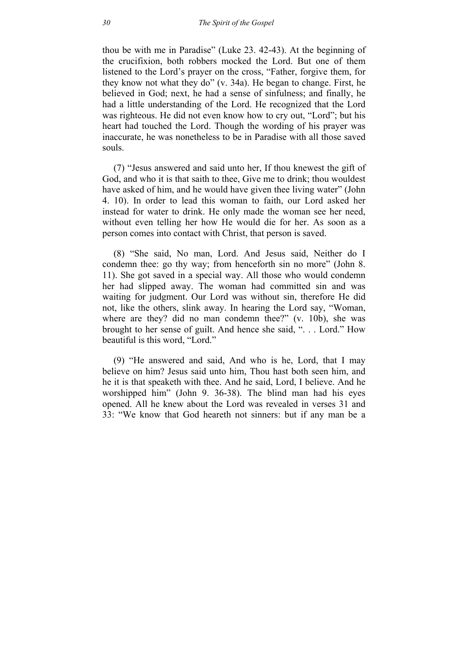thou be with me in Paradise" (Luke 23. 42-43). At the beginning of the crucifixion, both robbers mocked the Lord. But one of them listened to the Lord's prayer on the cross, "Father, forgive them, for they know not what they do" (v. 34a). He began to change. First, he believed in God; next, he had a sense of sinfulness; and finally, he had a little understanding of the Lord. He recognized that the Lord was righteous. He did not even know how to cry out, "Lord"; but his heart had touched the Lord. Though the wording of his prayer was inaccurate, he was nonetheless to be in Paradise with all those saved souls.

(7) "Jesus answered and said unto her, If thou knewest the gift of God, and who it is that saith to thee, Give me to drink; thou wouldest have asked of him, and he would have given thee living water" (John 4. 10). In order to lead this woman to faith, our Lord asked her instead for water to drink. He only made the woman see her need, without even telling her how He would die for her. As soon as a person comes into contact with Christ, that person is saved.

(8) "She said, No man, Lord. And Jesus said, Neither do I condemn thee: go thy way; from henceforth sin no more" (John 8. 11). She got saved in a special way. All those who would condemn her had slipped away. The woman had committed sin and was waiting for judgment. Our Lord was without sin, therefore He did not, like the others, slink away. In hearing the Lord say, "Woman, where are they? did no man condemn thee?" (v. 10b), she was brought to her sense of guilt. And hence she said, ". . . Lord." How beautiful is this word, "Lord."

(9) "He answered and said, And who is he, Lord, that I may believe on him? Jesus said unto him, Thou hast both seen him, and he it is that speaketh with thee. And he said, Lord, I believe. And he worshipped him" (John 9. 36-38). The blind man had his eyes opened. All he knew about the Lord was revealed in verses 31 and 33: "We know that God heareth not sinners: but if any man be a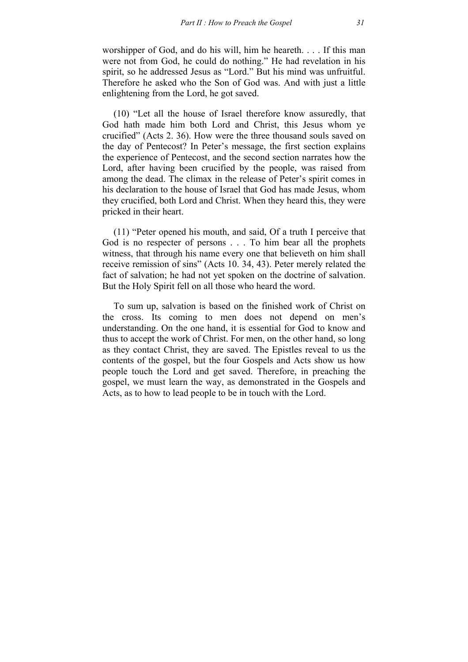worshipper of God, and do his will, him he heareth. . . . If this man were not from God, he could do nothing." He had revelation in his spirit, so he addressed Jesus as "Lord." But his mind was unfruitful. Therefore he asked who the Son of God was. And with just a little enlightening from the Lord, he got saved.

(10) "Let all the house of Israel therefore know assuredly, that God hath made him both Lord and Christ, this Jesus whom ye crucified" (Acts 2. 36). How were the three thousand souls saved on the day of Pentecost? In Peter's message, the first section explains the experience of Pentecost, and the second section narrates how the Lord, after having been crucified by the people, was raised from among the dead. The climax in the release of Peter's spirit comes in his declaration to the house of Israel that God has made Jesus, whom they crucified, both Lord and Christ. When they heard this, they were pricked in their heart.

(11) "Peter opened his mouth, and said, Of a truth I perceive that God is no respecter of persons . . . To him bear all the prophets witness, that through his name every one that believeth on him shall receive remission of sins" (Acts 10. 34, 43). Peter merely related the fact of salvation; he had not yet spoken on the doctrine of salvation. But the Holy Spirit fell on all those who heard the word.

To sum up, salvation is based on the finished work of Christ on the cross. Its coming to men does not depend on men's understanding. On the one hand, it is essential for God to know and thus to accept the work of Christ. For men, on the other hand, so long as they contact Christ, they are saved. The Epistles reveal to us the contents of the gospel, but the four Gospels and Acts show us how people touch the Lord and get saved. Therefore, in preaching the gospel, we must learn the way, as demonstrated in the Gospels and Acts, as to how to lead people to be in touch with the Lord.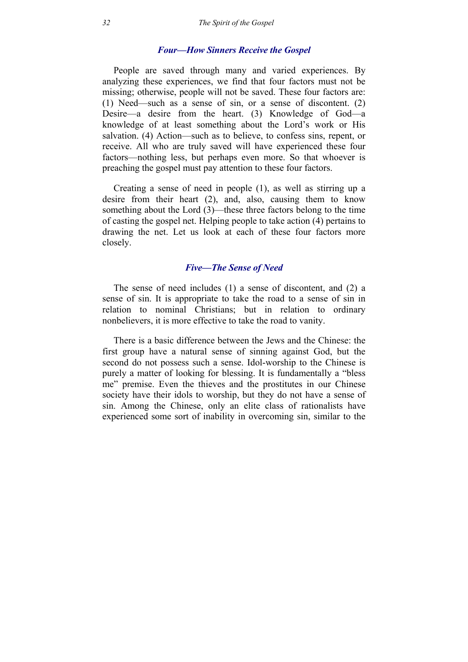## *Four—How Sinners Receive the Gospel*

People are saved through many and varied experiences. By analyzing these experiences, we find that four factors must not be missing; otherwise, people will not be saved. These four factors are: (1) Need—such as a sense of sin, or a sense of discontent. (2) Desire—a desire from the heart. (3) Knowledge of God—a knowledge of at least something about the Lord's work or His salvation. (4) Action—such as to believe, to confess sins, repent, or receive. All who are truly saved will have experienced these four factors—nothing less, but perhaps even more. So that whoever is preaching the gospel must pay attention to these four factors.

Creating a sense of need in people (1), as well as stirring up a desire from their heart (2), and, also, causing them to know something about the Lord (3)—these three factors belong to the time of casting the gospel net. Helping people to take action (4) pertains to drawing the net. Let us look at each of these four factors more closely.

## *Five—The Sense of Need*

The sense of need includes (1) a sense of discontent, and (2) a sense of sin. It is appropriate to take the road to a sense of sin in relation to nominal Christians; but in relation to ordinary nonbelievers, it is more effective to take the road to vanity.

There is a basic difference between the Jews and the Chinese: the first group have a natural sense of sinning against God, but the second do not possess such a sense. Idol-worship to the Chinese is purely a matter of looking for blessing. It is fundamentally a "bless me" premise. Even the thieves and the prostitutes in our Chinese society have their idols to worship, but they do not have a sense of sin. Among the Chinese, only an elite class of rationalists have experienced some sort of inability in overcoming sin, similar to the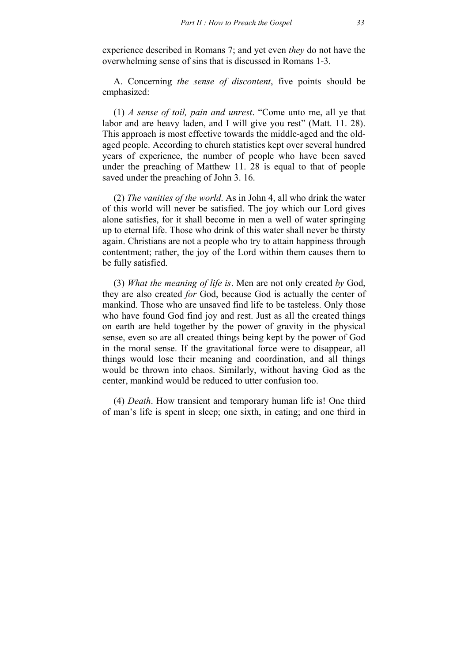experience described in Romans 7; and yet even *they* do not have the overwhelming sense of sins that is discussed in Romans 1-3.

A. Concerning *the sense of discontent*, five points should be emphasized:

(1) *A sense of toil, pain and unrest*. "Come unto me, all ye that labor and are heavy laden, and I will give you rest" (Matt. 11. 28). This approach is most effective towards the middle-aged and the oldaged people. According to church statistics kept over several hundred years of experience, the number of people who have been saved under the preaching of Matthew 11. 28 is equal to that of people saved under the preaching of John 3. 16.

(2) *The vanities of the world*. As in John 4, all who drink the water of this world will never be satisfied. The joy which our Lord gives alone satisfies, for it shall become in men a well of water springing up to eternal life. Those who drink of this water shall never be thirsty again. Christians are not a people who try to attain happiness through contentment; rather, the joy of the Lord within them causes them to be fully satisfied.

(3) *What the meaning of life is*. Men are not only created *by* God, they are also created *for* God, because God is actually the center of mankind. Those who are unsaved find life to be tasteless. Only those who have found God find joy and rest. Just as all the created things on earth are held together by the power of gravity in the physical sense, even so are all created things being kept by the power of God in the moral sense. If the gravitational force were to disappear, all things would lose their meaning and coordination, and all things would be thrown into chaos. Similarly, without having God as the center, mankind would be reduced to utter confusion too.

(4) *Death*. How transient and temporary human life is! One third of man's life is spent in sleep; one sixth, in eating; and one third in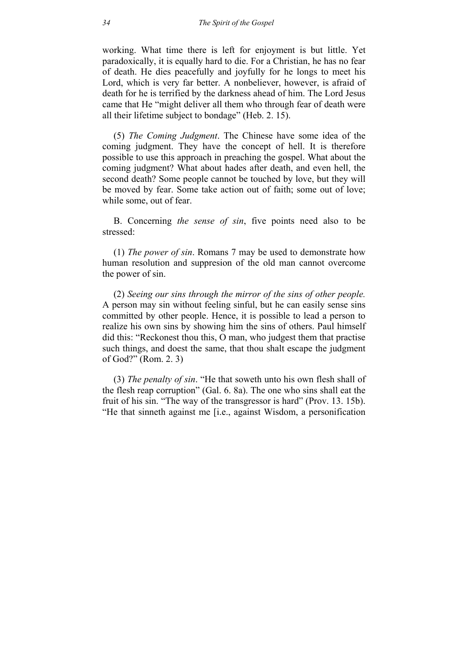working. What time there is left for enjoyment is but little. Yet paradoxically, it is equally hard to die. For a Christian, he has no fear of death. He dies peacefully and joyfully for he longs to meet his Lord, which is very far better. A nonbeliever, however, is afraid of death for he is terrified by the darkness ahead of him. The Lord Jesus came that He "might deliver all them who through fear of death were all their lifetime subject to bondage" (Heb. 2. 15).

(5) *The Coming Judgment*. The Chinese have some idea of the coming judgment. They have the concept of hell. It is therefore possible to use this approach in preaching the gospel. What about the coming judgment? What about hades after death, and even hell, the second death? Some people cannot be touched by love, but they will be moved by fear. Some take action out of faith; some out of love; while some, out of fear.

B. Concerning *the sense of sin*, five points need also to be stressed:

(1) *The power of sin*. Romans 7 may be used to demonstrate how human resolution and suppresion of the old man cannot overcome the power of sin.

(2) *Seeing our sins through the mirror of the sins of other people.*  A person may sin without feeling sinful, but he can easily sense sins committed by other people. Hence, it is possible to lead a person to realize his own sins by showing him the sins of others. Paul himself did this: "Reckonest thou this, O man, who judgest them that practise such things, and doest the same, that thou shalt escape the judgment of God?" (Rom. 2. 3)

(3) *The penalty of sin*. "He that soweth unto his own flesh shall of the flesh reap corruption" (Gal. 6. 8a). The one who sins shall eat the fruit of his sin. "The way of the transgressor is hard" (Prov. 13. 15b). "He that sinneth against me [i.e., against Wisdom, a personification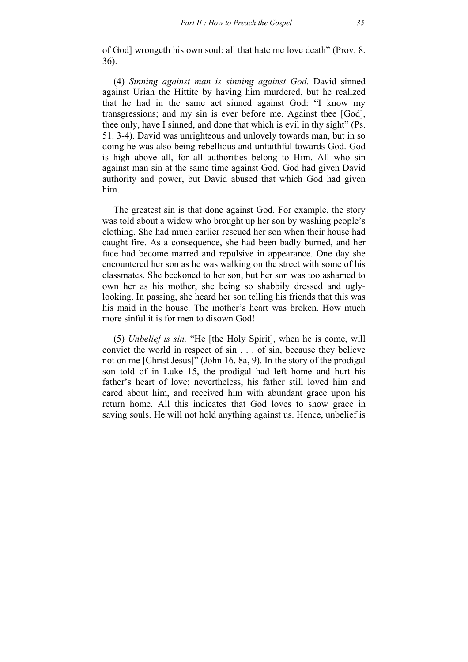of God] wrongeth his own soul: all that hate me love death" (Prov. 8. 36).

(4) *Sinning against man is sinning against God.* David sinned against Uriah the Hittite by having him murdered, but he realized that he had in the same act sinned against God: "I know my transgressions; and my sin is ever before me. Against thee [God], thee only, have I sinned, and done that which is evil in thy sight" (Ps. 51. 3-4). David was unrighteous and unlovely towards man, but in so doing he was also being rebellious and unfaithful towards God. God is high above all, for all authorities belong to Him. All who sin against man sin at the same time against God. God had given David authority and power, but David abused that which God had given him.

The greatest sin is that done against God. For example, the story was told about a widow who brought up her son by washing people's clothing. She had much earlier rescued her son when their house had caught fire. As a consequence, she had been badly burned, and her face had become marred and repulsive in appearance. One day she encountered her son as he was walking on the street with some of his classmates. She beckoned to her son, but her son was too ashamed to own her as his mother, she being so shabbily dressed and uglylooking. In passing, she heard her son telling his friends that this was his maid in the house. The mother's heart was broken. How much more sinful it is for men to disown God!

(5) *Unbelief is sin.* "He [the Holy Spirit], when he is come, will convict the world in respect of sin . . . of sin, because they believe not on me [Christ Jesus]" (John 16. 8a, 9). In the story of the prodigal son told of in Luke 15, the prodigal had left home and hurt his father's heart of love; nevertheless, his father still loved him and cared about him, and received him with abundant grace upon his return home. All this indicates that God loves to show grace in saving souls. He will not hold anything against us. Hence, unbelief is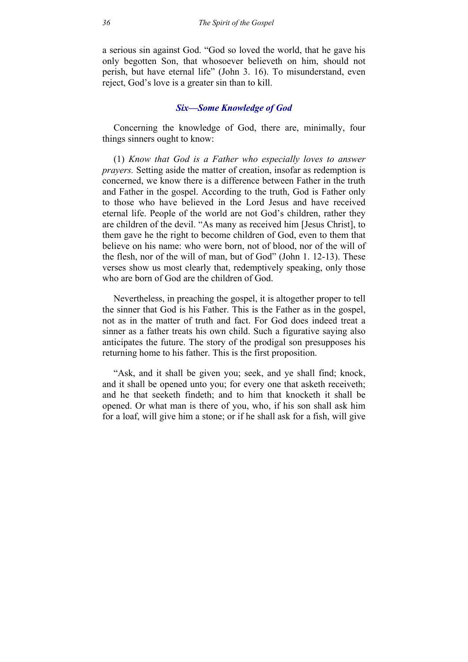a serious sin against God. "God so loved the world, that he gave his only begotten Son, that whosoever believeth on him, should not perish, but have eternal life" (John 3. 16). To misunderstand, even reject, God's love is a greater sin than to kill.

## *Six—Some Knowledge of God*

Concerning the knowledge of God, there are, minimally, four things sinners ought to know:

(1) *Know that God is a Father who especially loves to answer prayers.* Setting aside the matter of creation, insofar as redemption is concerned, we know there is a difference between Father in the truth and Father in the gospel. According to the truth, God is Father only to those who have believed in the Lord Jesus and have received eternal life. People of the world are not God's children, rather they are children of the devil. "As many as received him [Jesus Christ], to them gave he the right to become children of God, even to them that believe on his name: who were born, not of blood, nor of the will of the flesh, nor of the will of man, but of God" (John 1. 12-13). These verses show us most clearly that, redemptively speaking, only those who are born of God are the children of God.

Nevertheless, in preaching the gospel, it is altogether proper to tell the sinner that God is his Father. This is the Father as in the gospel, not as in the matter of truth and fact. For God does indeed treat a sinner as a father treats his own child. Such a figurative saying also anticipates the future. The story of the prodigal son presupposes his returning home to his father. This is the first proposition.

"Ask, and it shall be given you; seek, and ye shall find; knock, and it shall be opened unto you; for every one that asketh receiveth; and he that seeketh findeth; and to him that knocketh it shall be opened. Or what man is there of you, who, if his son shall ask him for a loaf, will give him a stone; or if he shall ask for a fish, will give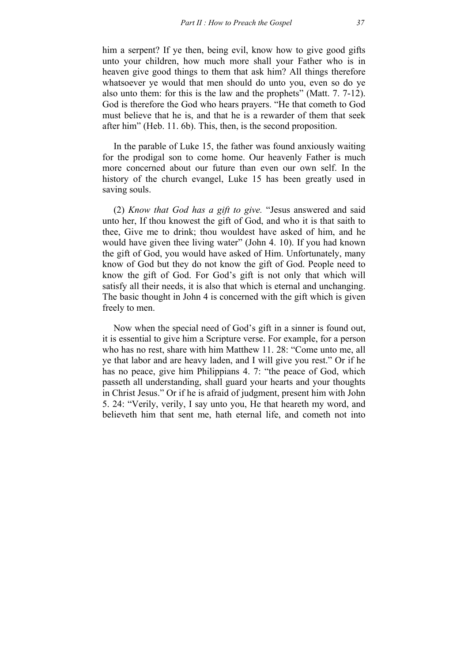him a serpent? If ye then, being evil, know how to give good gifts unto your children, how much more shall your Father who is in heaven give good things to them that ask him? All things therefore whatsoever ye would that men should do unto you, even so do ye also unto them: for this is the law and the prophets" (Matt. 7. 7-12). God is therefore the God who hears prayers. "He that cometh to God must believe that he is, and that he is a rewarder of them that seek after him" (Heb. 11. 6b). This, then, is the second proposition.

In the parable of Luke 15, the father was found anxiously waiting for the prodigal son to come home. Our heavenly Father is much more concerned about our future than even our own self. In the history of the church evangel, Luke 15 has been greatly used in saving souls.

(2) *Know that God has a gift to give.* "Jesus answered and said unto her, If thou knowest the gift of God, and who it is that saith to thee, Give me to drink; thou wouldest have asked of him, and he would have given thee living water" (John 4. 10). If you had known the gift of God, you would have asked of Him. Unfortunately, many know of God but they do not know the gift of God. People need to know the gift of God. For God's gift is not only that which will satisfy all their needs, it is also that which is eternal and unchanging. The basic thought in John 4 is concerned with the gift which is given freely to men.

Now when the special need of God's gift in a sinner is found out, it is essential to give him a Scripture verse. For example, for a person who has no rest, share with him Matthew 11. 28: "Come unto me, all ye that labor and are heavy laden, and I will give you rest." Or if he has no peace, give him Philippians 4. 7: "the peace of God, which passeth all understanding, shall guard your hearts and your thoughts in Christ Jesus." Or if he is afraid of judgment, present him with John 5. 24: "Verily, verily, I say unto you, He that heareth my word, and believeth him that sent me, hath eternal life, and cometh not into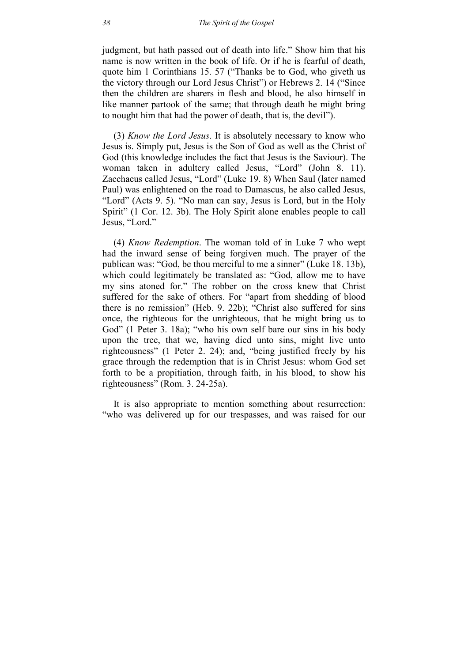judgment, but hath passed out of death into life." Show him that his name is now written in the book of life. Or if he is fearful of death, quote him 1 Corinthians 15. 57 ("Thanks be to God, who giveth us the victory through our Lord Jesus Christ") or Hebrews 2. 14 ("Since then the children are sharers in flesh and blood, he also himself in like manner partook of the same; that through death he might bring to nought him that had the power of death, that is, the devil").

(3) *Know the Lord Jesus*. It is absolutely necessary to know who Jesus is. Simply put, Jesus is the Son of God as well as the Christ of God (this knowledge includes the fact that Jesus is the Saviour). The woman taken in adultery called Jesus, "Lord" (John 8. 11). Zacchaeus called Jesus, "Lord" (Luke 19. 8) When Saul (later named Paul) was enlightened on the road to Damascus, he also called Jesus, "Lord" (Acts 9. 5). "No man can say, Jesus is Lord, but in the Holy Spirit" (1 Cor. 12. 3b). The Holy Spirit alone enables people to call Jesus, "Lord."

(4) *Know Redemption*. The woman told of in Luke 7 who wept had the inward sense of being forgiven much. The prayer of the publican was: "God, be thou merciful to me a sinner" (Luke 18. 13b), which could legitimately be translated as: "God, allow me to have my sins atoned for." The robber on the cross knew that Christ suffered for the sake of others. For "apart from shedding of blood there is no remission" (Heb. 9. 22b); "Christ also suffered for sins once, the righteous for the unrighteous, that he might bring us to God" (1 Peter 3. 18a); "who his own self bare our sins in his body upon the tree, that we, having died unto sins, might live unto righteousness" (1 Peter 2. 24); and, "being justified freely by his grace through the redemption that is in Christ Jesus: whom God set forth to be a propitiation, through faith, in his blood, to show his righteousness" (Rom. 3. 24-25a).

It is also appropriate to mention something about resurrection: "who was delivered up for our trespasses, and was raised for our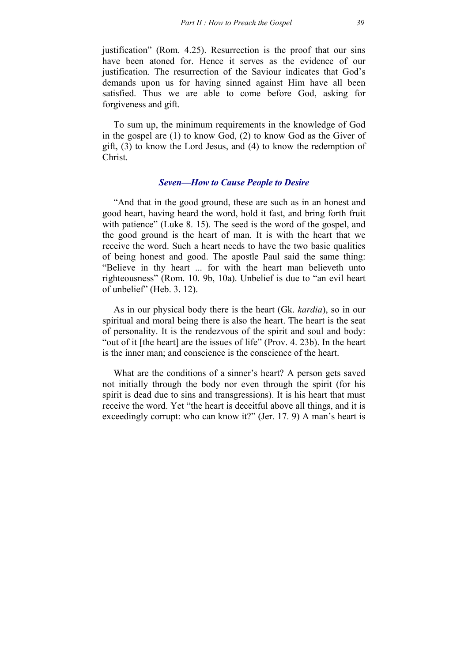justification" (Rom. 4.25). Resurrection is the proof that our sins have been atoned for. Hence it serves as the evidence of our justification. The resurrection of the Saviour indicates that God's demands upon us for having sinned against Him have all been satisfied. Thus we are able to come before God, asking for forgiveness and gift.

To sum up, the minimum requirements in the knowledge of God in the gospel are (1) to know God, (2) to know God as the Giver of gift, (3) to know the Lord Jesus, and (4) to know the redemption of Christ.

#### *Seven—How to Cause People to Desire*

"And that in the good ground, these are such as in an honest and good heart, having heard the word, hold it fast, and bring forth fruit with patience" (Luke 8, 15). The seed is the word of the gospel, and the good ground is the heart of man. It is with the heart that we receive the word. Such a heart needs to have the two basic qualities of being honest and good. The apostle Paul said the same thing: "Believe in thy heart ... for with the heart man believeth unto righteousness" (Rom. 10. 9b, 10a). Unbelief is due to "an evil heart of unbelief" (Heb. 3. 12).

As in our physical body there is the heart (Gk. *kardia*), so in our spiritual and moral being there is also the heart. The heart is the seat of personality. It is the rendezvous of the spirit and soul and body: "out of it [the heart] are the issues of life" (Prov. 4. 23b). In the heart is the inner man; and conscience is the conscience of the heart.

What are the conditions of a sinner's heart? A person gets saved not initially through the body nor even through the spirit (for his spirit is dead due to sins and transgressions). It is his heart that must receive the word. Yet "the heart is deceitful above all things, and it is exceedingly corrupt: who can know it?" (Jer. 17. 9) A man's heart is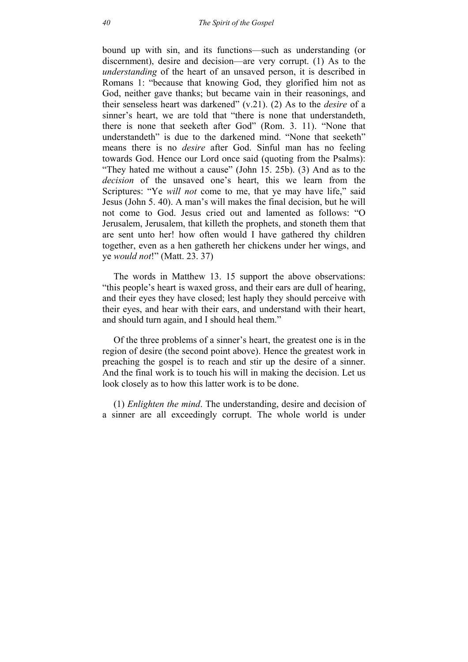bound up with sin, and its functions—such as understanding (or discernment), desire and decision—are very corrupt. (1) As to the *understanding* of the heart of an unsaved person, it is described in Romans 1: "because that knowing God, they glorified him not as God, neither gave thanks; but became vain in their reasonings, and their senseless heart was darkened" (v.21). (2) As to the *desire* of a sinner's heart, we are told that "there is none that understandeth, there is none that seeketh after God" (Rom. 3. 11). "None that understandeth" is due to the darkened mind. "None that seeketh" means there is no *desire* after God. Sinful man has no feeling towards God. Hence our Lord once said (quoting from the Psalms): "They hated me without a cause" (John 15. 25b). (3) And as to the *decision* of the unsaved one's heart, this we learn from the Scriptures: "Ye *will not* come to me, that ye may have life," said Jesus (John 5. 40). A man's will makes the final decision, but he will not come to God. Jesus cried out and lamented as follows: "O Jerusalem, Jerusalem, that killeth the prophets, and stoneth them that are sent unto her! how often would I have gathered thy children together, even as a hen gathereth her chickens under her wings, and ye *would not*!" (Matt. 23. 37)

The words in Matthew 13. 15 support the above observations: "this people's heart is waxed gross, and their ears are dull of hearing, and their eyes they have closed; lest haply they should perceive with their eyes, and hear with their ears, and understand with their heart, and should turn again, and I should heal them."

Of the three problems of a sinner's heart, the greatest one is in the region of desire (the second point above). Hence the greatest work in preaching the gospel is to reach and stir up the desire of a sinner. And the final work is to touch his will in making the decision. Let us look closely as to how this latter work is to be done.

(1) *Enlighten the mind*. The understanding, desire and decision of a sinner are all exceedingly corrupt. The whole world is under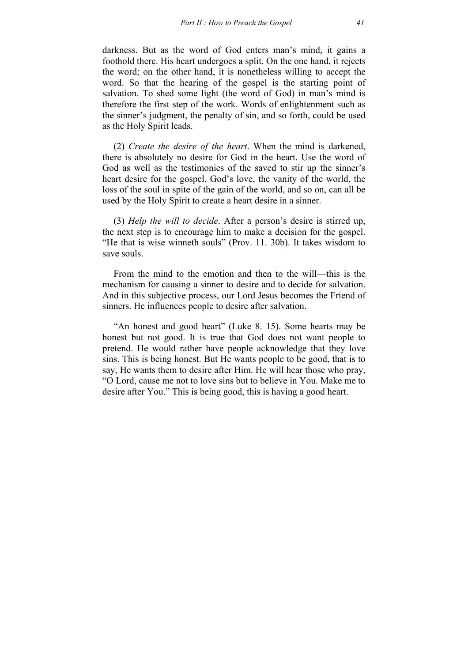darkness. But as the word of God enters man's mind, it gains a foothold there. His heart undergoes a split. On the one hand, it rejects the word; on the other hand, it is nonetheless willing to accept the word. So that the hearing of the gospel is the starting point of salvation. To shed some light (the word of God) in man's mind is therefore the first step of the work. Words of enlightenment such as the sinner's judgment, the penalty of sin, and so forth, could be used as the Holy Spirit leads.

(2) *Create the desire of the heart*. When the mind is darkened, there is absolutely no desire for God in the heart. Use the word of God as well as the testimonies of the saved to stir up the sinner's heart desire for the gospel. God's love, the vanity of the world, the loss of the soul in spite of the gain of the world, and so on, can all be used by the Holy Spirit to create a heart desire in a sinner.

(3) *Help the will to decide*. After a person's desire is stirred up, the next step is to encourage him to make a decision for the gospel. "He that is wise winneth souls" (Prov. 11. 30b). It takes wisdom to save souls.

From the mind to the emotion and then to the will—this is the mechanism for causing a sinner to desire and to decide for salvation. And in this subjective process, our Lord Jesus becomes the Friend of sinners. He influences people to desire after salvation.

"An honest and good heart" (Luke 8. 15). Some hearts may be honest but not good. It is true that God does not want people to pretend. He would rather have people acknowledge that they love sins. This is being honest. But He wants people to be good, that is to say, He wants them to desire after Him. He will hear those who pray, "O Lord, cause me not to love sins but to believe in You. Make me to desire after You." This is being good, this is having a good heart.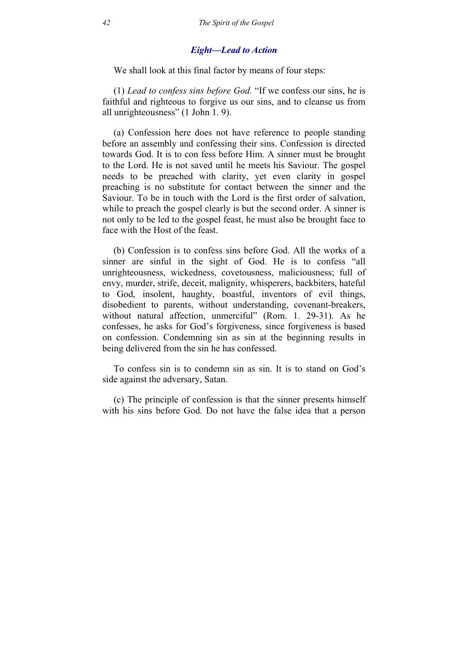# *Eight—Lead to Action*

We shall look at this final factor by means of four steps:

(1) *Lead to confess sins before God.* "If we confess our sins, he is faithful and righteous to forgive us our sins, and to cleanse us from all unrighteousness" (1 John 1. 9).

(a) Confession here does not have reference to people standing before an assembly and confessing their sins. Confession is directed towards God. It is to con fess before Him. A sinner must be brought to the Lord. He is not saved until he meets his Saviour. The gospel needs to be preached with clarity, yet even clarity in gospel preaching is no substitute for contact between the sinner and the Saviour. To be in touch with the Lord is the first order of salvation, while to preach the gospel clearly is but the second order. A sinner is not only to be led to the gospel feast, he must also be brought face to face with the Host of the feast.

(b) Confession is to confess sins before God. All the works of a sinner are sinful in the sight of God. He is to confess "all unrighteousness, wickedness, covetousness, maliciousness; full of envy, murder, strife, deceit, malignity, whisperers, backbiters, hateful to God, insolent, haughty, boastful, inventors of evil things, disobedient to parents, without understanding, covenant-breakers, without natural affection, unmerciful" (Rom. 1. 29-31). As he confesses, he asks for God's forgiveness, since forgiveness is based on confession. Condemning sin as sin at the beginning results in being delivered from the sin he has confessed.

To confess sin is to condemn sin as sin. It is to stand on God's side against the adversary, Satan.

(c) The principle of confession is that the sinner presents himself with his sins before God. Do not have the false idea that a person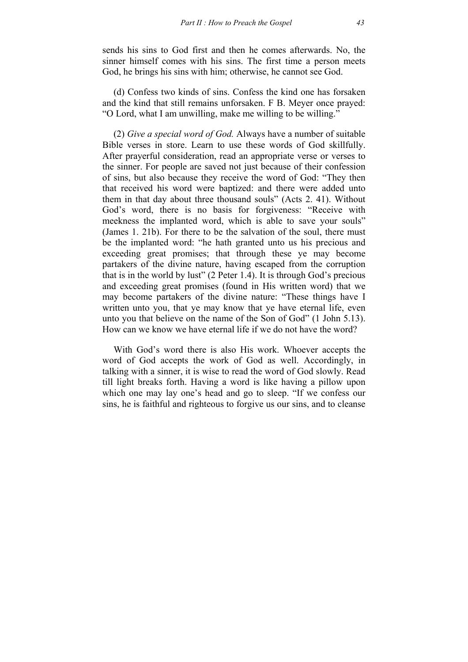sends his sins to God first and then he comes afterwards. No, the sinner himself comes with his sins. The first time a person meets God, he brings his sins with him; otherwise, he cannot see God.

(d) Confess two kinds of sins. Confess the kind one has forsaken and the kind that still remains unforsaken. F B. Meyer once prayed: "O Lord, what I am unwilling, make me willing to be willing."

(2) *Give a special word of God.* Always have a number of suitable Bible verses in store. Learn to use these words of God skillfully. After prayerful consideration, read an appropriate verse or verses to the sinner. For people are saved not just because of their confession of sins, but also because they receive the word of God: "They then that received his word were baptized: and there were added unto them in that day about three thousand souls" (Acts 2. 41). Without God's word, there is no basis for forgiveness: "Receive with meekness the implanted word, which is able to save your souls" (James 1. 21b). For there to be the salvation of the soul, there must be the implanted word: "he hath granted unto us his precious and exceeding great promises; that through these ye may become partakers of the divine nature, having escaped from the corruption that is in the world by lust" (2 Peter 1.4). It is through God's precious and exceeding great promises (found in His written word) that we may become partakers of the divine nature: "These things have I written unto you, that ye may know that ye have eternal life, even unto you that believe on the name of the Son of God" (1 John 5.13). How can we know we have eternal life if we do not have the word?

With God's word there is also His work. Whoever accepts the word of God accepts the work of God as well. Accordingly, in talking with a sinner, it is wise to read the word of God slowly. Read till light breaks forth. Having a word is like having a pillow upon which one may lay one's head and go to sleep. "If we confess our sins, he is faithful and righteous to forgive us our sins, and to cleanse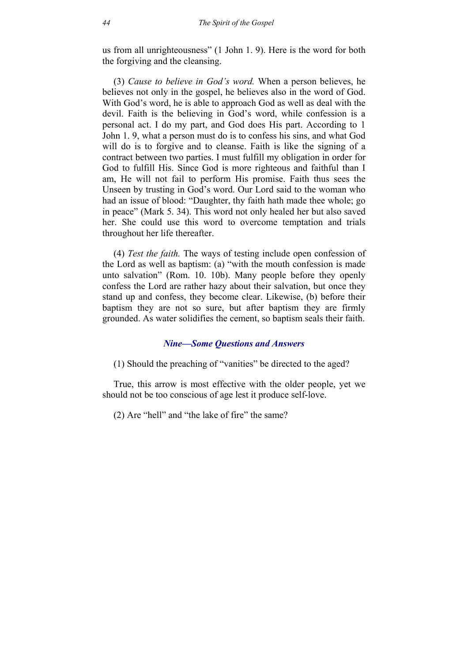us from all unrighteousness" (1 John 1. 9). Here is the word for both the forgiving and the cleansing.

(3) *Cause to believe in God's word.* When a person believes, he believes not only in the gospel, he believes also in the word of God. With God's word, he is able to approach God as well as deal with the devil. Faith is the believing in God's word, while confession is a personal act. I do my part, and God does His part. According to 1 John 1. 9, what a person must do is to confess his sins, and what God will do is to forgive and to cleanse. Faith is like the signing of a contract between two parties. I must fulfill my obligation in order for God to fulfill His. Since God is more righteous and faithful than I am, He will not fail to perform His promise. Faith thus sees the Unseen by trusting in God's word. Our Lord said to the woman who had an issue of blood: "Daughter, thy faith hath made thee whole; go in peace" (Mark 5. 34). This word not only healed her but also saved her. She could use this word to overcome temptation and trials throughout her life thereafter.

(4) *Test the faith.* The ways of testing include open confession of the Lord as well as baptism: (a) "with the mouth confession is made unto salvation" (Rom. 10. 10b). Many people before they openly confess the Lord are rather hazy about their salvation, but once they stand up and confess, they become clear. Likewise, (b) before their baptism they are not so sure, but after baptism they are firmly grounded. As water solidifies the cement, so baptism seals their faith.

# *Nine—Some Questions and Answers*

(1) Should the preaching of "vanities" be directed to the aged?

True, this arrow is most effective with the older people, yet we should not be too conscious of age lest it produce self-love.

(2) Are "hell" and "the lake of fire" the same?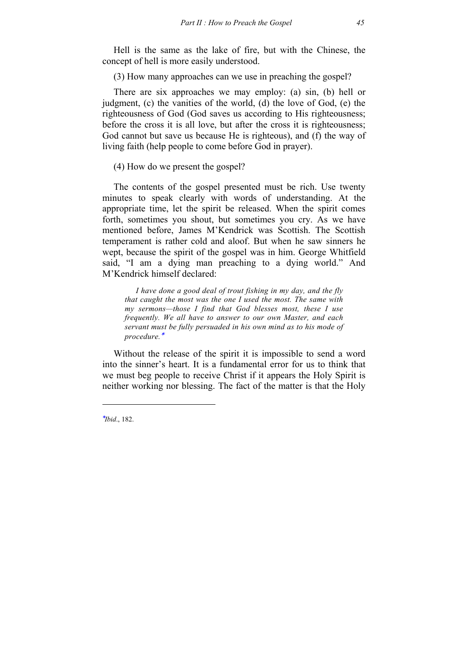Hell is the same as the lake of fire, but with the Chinese, the concept of hell is more easily understood.

(3) How many approaches can we use in preaching the gospel?

There are six approaches we may employ: (a) sin, (b) hell or judgment, (c) the vanities of the world, (d) the love of God, (e) the righteousness of God (God saves us according to His righteousness; before the cross it is all love, but after the cross it is righteousness; God cannot but save us because He is righteous), and (f) the way of living faith (help people to come before God in prayer).

(4) How do we present the gospel?

The contents of the gospel presented must be rich. Use twenty minutes to speak clearly with words of understanding. At the appropriate time, let the spirit be released. When the spirit comes forth, sometimes you shout, but sometimes you cry. As we have mentioned before, James M'Kendrick was Scottish. The Scottish temperament is rather cold and aloof. But when he saw sinners he wept, because the spirit of the gospel was in him. George Whitfield said, "I am a dying man preaching to a dying world." And M'Kendrick himself declared:

*I have done a good deal of trout fishing in my day, and the fly that caught the most was the one I used the most. The same with my sermons—those I find that God blesses most, these I use frequently. We all have to answer to our own Master, and each servant must be fully persuaded in his own mind as to his mode of procedure.*<sup>∗</sup>

Without the release of the spirit it is impossible to send a word into the sinner's heart. It is a fundamental error for us to think that we must beg people to receive Christ if it appears the Holy Spirit is neither working nor blessing. The fact of the matter is that the Holy

-

<sup>∗</sup> *Ibid*., 182.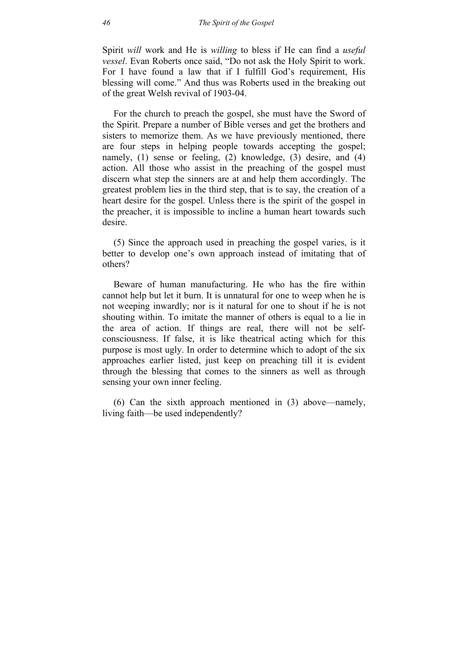Spirit *will* work and He is *willing* to bless if He can find a *useful vessel*. Evan Roberts once said, "Do not ask the Holy Spirit to work. For I have found a law that if I fulfill God's requirement, His blessing will come." And thus was Roberts used in the breaking out of the great Welsh revival of 1903-04.

For the church to preach the gospel, she must have the Sword of the Spirit. Prepare a number of Bible verses and get the brothers and sisters to memorize them. As we have previously mentioned, there are four steps in helping people towards accepting the gospel; namely, (1) sense or feeling, (2) knowledge, (3) desire, and (4) action. All those who assist in the preaching of the gospel must discern what step the sinners are at and help them accordingly. The greatest problem lies in the third step, that is to say, the creation of a heart desire for the gospel. Unless there is the spirit of the gospel in the preacher, it is impossible to incline a human heart towards such desire.

(5) Since the approach used in preaching the gospel varies, is it better to develop one's own approach instead of imitating that of others?

Beware of human manufacturing. He who has the fire within cannot help but let it burn. It is unnatural for one to weep when he is not weeping inwardly; nor is it natural for one to shout if he is not shouting within. To imitate the manner of others is equal to a lie in the area of action. If things are real, there will not be selfconsciousness. If false, it is like theatrical acting which for this purpose is most ugly. In order to determine which to adopt of the six approaches earlier listed, just keep on preaching till it is evident through the blessing that comes to the sinners as well as through sensing your own inner feeling.

(6) Can the sixth approach mentioned in (3) above—namely, living faith—be used independently?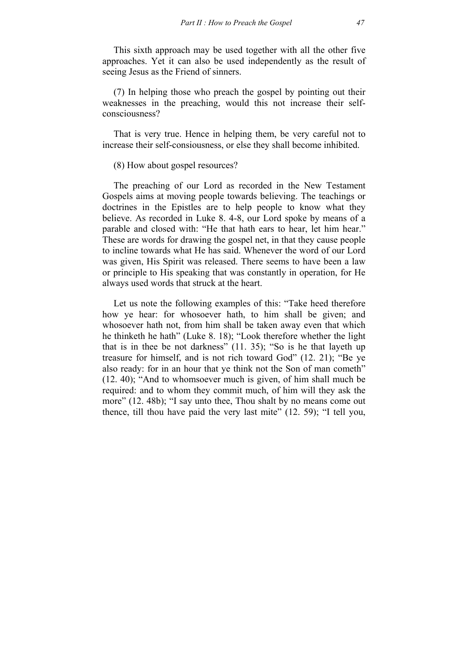This sixth approach may be used together with all the other five approaches. Yet it can also be used independently as the result of seeing Jesus as the Friend of sinners.

(7) In helping those who preach the gospel by pointing out their weaknesses in the preaching, would this not increase their selfconsciousness?

That is very true. Hence in helping them, be very careful not to increase their self-consiousness, or else they shall become inhibited.

(8) How about gospel resources?

The preaching of our Lord as recorded in the New Testament Gospels aims at moving people towards believing. The teachings or doctrines in the Epistles are to help people to know what they believe. As recorded in Luke 8. 4-8, our Lord spoke by means of a parable and closed with: "He that hath ears to hear, let him hear." These are words for drawing the gospel net, in that they cause people to incline towards what He has said. Whenever the word of our Lord was given, His Spirit was released. There seems to have been a law or principle to His speaking that was constantly in operation, for He always used words that struck at the heart.

Let us note the following examples of this: "Take heed therefore how ye hear: for whosoever hath, to him shall be given; and whosoever hath not, from him shall be taken away even that which he thinketh he hath" (Luke 8. 18); "Look therefore whether the light that is in thee be not darkness" (11. 35); "So is he that layeth up treasure for himself, and is not rich toward God" (12. 21); "Be ye also ready: for in an hour that ye think not the Son of man cometh" (12. 40); "And to whomsoever much is given, of him shall much be required: and to whom they commit much, of him will they ask the more" (12. 48b); "I say unto thee, Thou shalt by no means come out thence, till thou have paid the very last mite" (12. 59); "I tell you,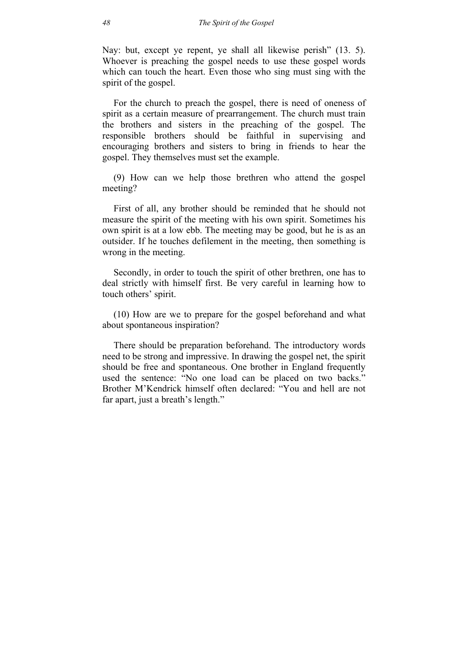Nay: but, except ye repent, ye shall all likewise perish" (13. 5). Whoever is preaching the gospel needs to use these gospel words which can touch the heart. Even those who sing must sing with the spirit of the gospel.

For the church to preach the gospel, there is need of oneness of spirit as a certain measure of prearrangement. The church must train the brothers and sisters in the preaching of the gospel. The responsible brothers should be faithful in supervising and encouraging brothers and sisters to bring in friends to hear the gospel. They themselves must set the example.

(9) How can we help those brethren who attend the gospel meeting?

First of all, any brother should be reminded that he should not measure the spirit of the meeting with his own spirit. Sometimes his own spirit is at a low ebb. The meeting may be good, but he is as an outsider. If he touches defilement in the meeting, then something is wrong in the meeting.

Secondly, in order to touch the spirit of other brethren, one has to deal strictly with himself first. Be very careful in learning how to touch others' spirit.

(10) How are we to prepare for the gospel beforehand and what about spontaneous inspiration?

There should be preparation beforehand. The introductory words need to be strong and impressive. In drawing the gospel net, the spirit should be free and spontaneous. One brother in England frequently used the sentence: "No one load can be placed on two backs." Brother M'Kendrick himself often declared: "You and hell are not far apart, just a breath's length."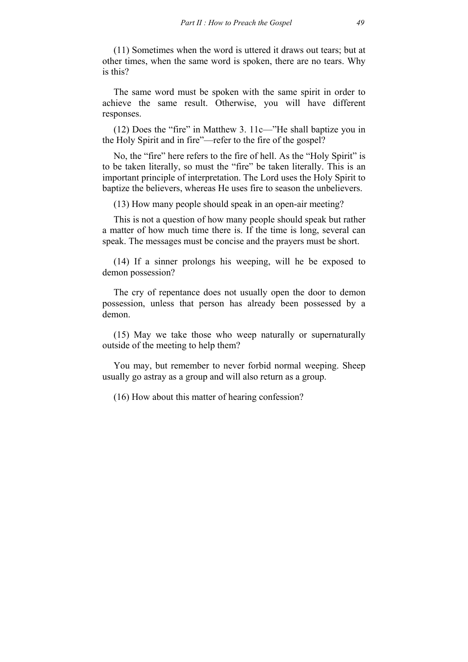(11) Sometimes when the word is uttered it draws out tears; but at other times, when the same word is spoken, there are no tears. Why is this?

The same word must be spoken with the same spirit in order to achieve the same result. Otherwise, you will have different responses.

(12) Does the "fire" in Matthew 3. 11c—"He shall baptize you in the Holy Spirit and in fire"—refer to the fire of the gospel?

No, the "fire" here refers to the fire of hell. As the "Holy Spirit" is to be taken literally, so must the "fire" be taken literally. This is an important principle of interpretation. The Lord uses the Holy Spirit to baptize the believers, whereas He uses fire to season the unbelievers.

(13) How many people should speak in an open-air meeting?

This is not a question of how many people should speak but rather a matter of how much time there is. If the time is long, several can speak. The messages must be concise and the prayers must be short.

(14) If a sinner prolongs his weeping, will he be exposed to demon possession?

The cry of repentance does not usually open the door to demon possession, unless that person has already been possessed by a demon.

(15) May we take those who weep naturally or supernaturally outside of the meeting to help them?

You may, but remember to never forbid normal weeping. Sheep usually go astray as a group and will also return as a group.

(16) How about this matter of hearing confession?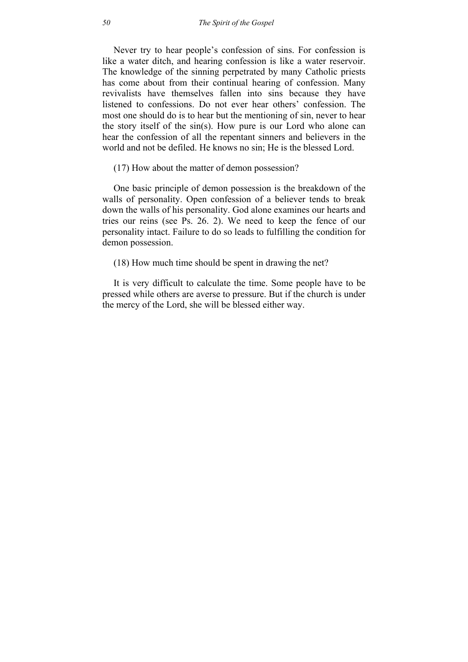Never try to hear people's confession of sins. For confession is like a water ditch, and hearing confession is like a water reservoir. The knowledge of the sinning perpetrated by many Catholic priests has come about from their continual hearing of confession. Many revivalists have themselves fallen into sins because they have listened to confessions. Do not ever hear others' confession. The most one should do is to hear but the mentioning of sin, never to hear the story itself of the sin(s). How pure is our Lord who alone can hear the confession of all the repentant sinners and believers in the world and not be defiled. He knows no sin; He is the blessed Lord.

(17) How about the matter of demon possession?

One basic principle of demon possession is the breakdown of the walls of personality. Open confession of a believer tends to break down the walls of his personality. God alone examines our hearts and tries our reins (see Ps. 26. 2). We need to keep the fence of our personality intact. Failure to do so leads to fulfilling the condition for demon possession.

(18) How much time should be spent in drawing the net?

It is very difficult to calculate the time. Some people have to be pressed while others are averse to pressure. But if the church is under the mercy of the Lord, she will be blessed either way.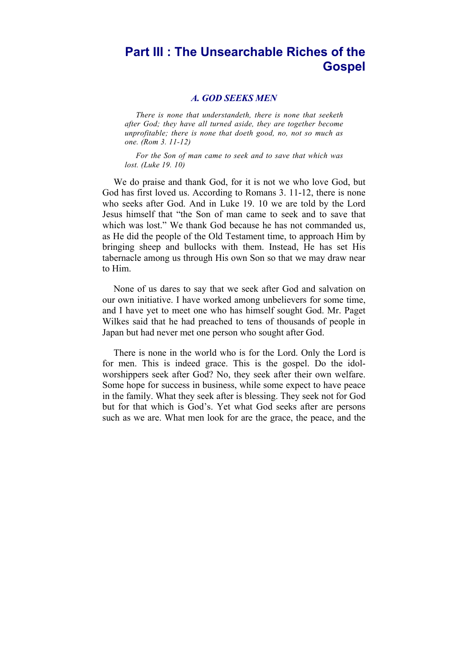# **Part III : The Unsearchable Riches of the Gospel**

## *A. GOD SEEKS MEN*

*There is none that understandeth, there is none that seeketh after God; they have all turned aside, they are together become unprofitable; there is none that doeth good, no, not so much as one. (Rom 3. 11-12)* 

*For the Son of man came to seek and to save that which was lost. (Luke 19. 10)* 

We do praise and thank God, for it is not we who love God, but God has first loved us. According to Romans 3. 11-12, there is none who seeks after God. And in Luke 19. 10 we are told by the Lord Jesus himself that "the Son of man came to seek and to save that which was lost." We thank God because he has not commanded us, as He did the people of the Old Testament time, to approach Him by bringing sheep and bullocks with them. Instead, He has set His tabernacle among us through His own Son so that we may draw near to Him.

None of us dares to say that we seek after God and salvation on our own initiative. I have worked among unbelievers for some time, and I have yet to meet one who has himself sought God. Mr. Paget Wilkes said that he had preached to tens of thousands of people in Japan but had never met one person who sought after God.

There is none in the world who is for the Lord. Only the Lord is for men. This is indeed grace. This is the gospel. Do the idolworshippers seek after God? No, they seek after their own welfare. Some hope for success in business, while some expect to have peace in the family. What they seek after is blessing. They seek not for God but for that which is God's. Yet what God seeks after are persons such as we are. What men look for are the grace, the peace, and the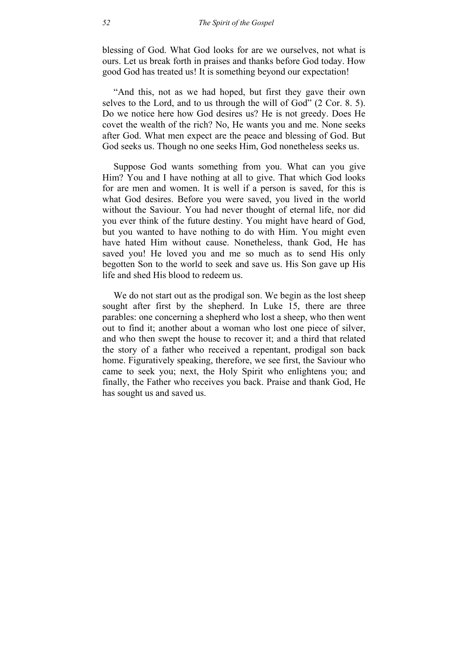blessing of God. What God looks for are we ourselves, not what is ours. Let us break forth in praises and thanks before God today. How good God has treated us! It is something beyond our expectation!

"And this, not as we had hoped, but first they gave their own selves to the Lord, and to us through the will of God" (2 Cor. 8. 5). Do we notice here how God desires us? He is not greedy. Does He covet the wealth of the rich? No, He wants you and me. None seeks after God. What men expect are the peace and blessing of God. But God seeks us. Though no one seeks Him, God nonetheless seeks us.

Suppose God wants something from you. What can you give Him? You and I have nothing at all to give. That which God looks for are men and women. It is well if a person is saved, for this is what God desires. Before you were saved, you lived in the world without the Saviour. You had never thought of eternal life, nor did you ever think of the future destiny. You might have heard of God, but you wanted to have nothing to do with Him. You might even have hated Him without cause. Nonetheless, thank God, He has saved you! He loved you and me so much as to send His only begotten Son to the world to seek and save us. His Son gave up His life and shed His blood to redeem us.

We do not start out as the prodigal son. We begin as the lost sheep sought after first by the shepherd. In Luke 15, there are three parables: one concerning a shepherd who lost a sheep, who then went out to find it; another about a woman who lost one piece of silver, and who then swept the house to recover it; and a third that related the story of a father who received a repentant, prodigal son back home. Figuratively speaking, therefore, we see first, the Saviour who came to seek you; next, the Holy Spirit who enlightens you; and finally, the Father who receives you back. Praise and thank God, He has sought us and saved us.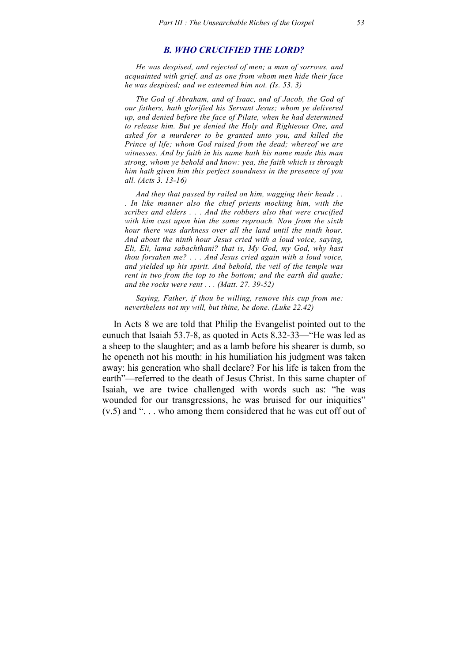#### *B. WHO CRUCIFIED THE LORD?*

*He was despised, and rejected of men; a man of sorrows, and acquainted with grief. and as one from whom men hide their face he was despised; and we esteemed him not. (Is. 53. 3)* 

*The God of Abraham, and of Isaac, and of Jacob, the God of our fathers, hath glorified his Servant Jesus; whom ye delivered up, and denied before the face of Pilate, when he had determined to release him. But ye denied the Holy and Righteous One, and asked for a murderer to be granted unto you, and killed the Prince of life; whom God raised from the dead; whereof we are witnesses. And by faith in his name hath his name made this man strong, whom ye behold and know: yea, the faith which is through him hath given him this perfect soundness in the presence of you all. (Acts 3. 13-16)* 

*And they that passed by railed on him, wagging their heads . . . In like manner also the chief priests mocking him, with the scribes and elders . . . And the robbers also that were crucified with him cast upon him the same reproach. Now from the sixth hour there was darkness over all the land until the ninth hour. And about the ninth hour Jesus cried with a loud voice, saying, Eli, Eli, lama sabachthani? that is, My God, my God, why hast thou forsaken me? . . . And Jesus cried again with a loud voice, and yielded up his spirit. And behold, the veil of the temple was rent in two from the top to the bottom; and the earth did quake; and the rocks were rent . . . (Matt. 27. 39-52)* 

*Saying, Father, if thou be willing, remove this cup from me: nevertheless not my will, but thine, be done. (Luke 22.42)* 

In Acts 8 we are told that Philip the Evangelist pointed out to the eunuch that Isaiah 53.7-8, as quoted in Acts 8.32-33—"He was led as a sheep to the slaughter; and as a lamb before his shearer is dumb, so he openeth not his mouth: in his humiliation his judgment was taken away: his generation who shall declare? For his life is taken from the earth"—referred to the death of Jesus Christ. In this same chapter of Isaiah, we are twice challenged with words such as: "he was wounded for our transgressions, he was bruised for our iniquities" (v.5) and ". . . who among them considered that he was cut off out of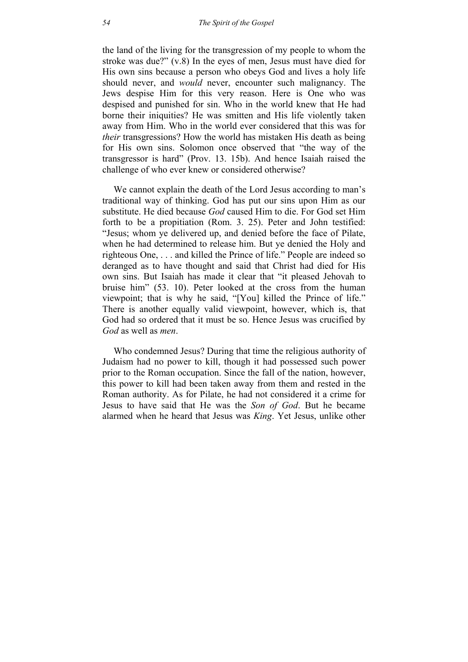the land of the living for the transgression of my people to whom the stroke was due?" (v.8) In the eyes of men, Jesus must have died for His own sins because a person who obeys God and lives a holy life should never, and *would* never, encounter such malignancy. The Jews despise Him for this very reason. Here is One who was despised and punished for sin. Who in the world knew that He had borne their iniquities? He was smitten and His life violently taken away from Him. Who in the world ever considered that this was for *their* transgressions? How the world has mistaken His death as being for His own sins. Solomon once observed that "the way of the transgressor is hard" (Prov. 13. 15b). And hence Isaiah raised the challenge of who ever knew or considered otherwise?

We cannot explain the death of the Lord Jesus according to man's traditional way of thinking. God has put our sins upon Him as our substitute. He died because *God* caused Him to die. For God set Him forth to be a propitiation (Rom. 3. 25). Peter and John testified: "Jesus; whom ye delivered up, and denied before the face of Pilate, when he had determined to release him. But ye denied the Holy and righteous One, . . . and killed the Prince of life." People are indeed so deranged as to have thought and said that Christ had died for His own sins. But Isaiah has made it clear that "it pleased Jehovah to bruise him" (53. 10). Peter looked at the cross from the human viewpoint; that is why he said, "[You] killed the Prince of life." There is another equally valid viewpoint, however, which is, that God had so ordered that it must be so. Hence Jesus was crucified by *God* as well as *men*.

Who condemned Jesus? During that time the religious authority of Judaism had no power to kill, though it had possessed such power prior to the Roman occupation. Since the fall of the nation, however, this power to kill had been taken away from them and rested in the Roman authority. As for Pilate, he had not considered it a crime for Jesus to have said that He was the *Son of God*. But he became alarmed when he heard that Jesus was *King*. Yet Jesus, unlike other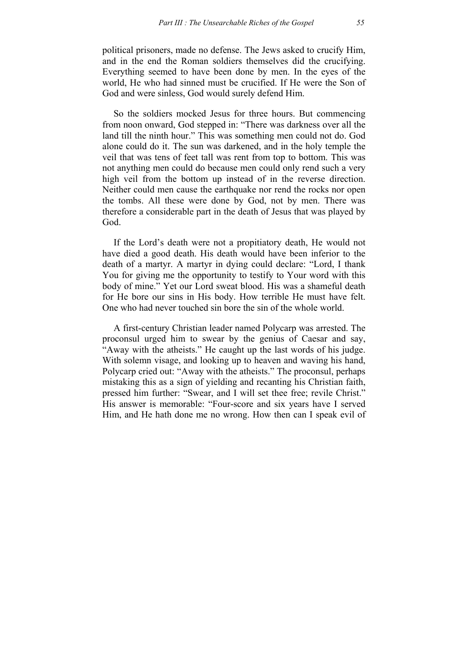political prisoners, made no defense. The Jews asked to crucify Him, and in the end the Roman soldiers themselves did the crucifying. Everything seemed to have been done by men. In the eyes of the world, He who had sinned must be crucified. If He were the Son of God and were sinless, God would surely defend Him.

So the soldiers mocked Jesus for three hours. But commencing from noon onward, God stepped in: "There was darkness over all the land till the ninth hour." This was something men could not do. God alone could do it. The sun was darkened, and in the holy temple the veil that was tens of feet tall was rent from top to bottom. This was not anything men could do because men could only rend such a very high veil from the bottom up instead of in the reverse direction. Neither could men cause the earthquake nor rend the rocks nor open the tombs. All these were done by God, not by men. There was therefore a considerable part in the death of Jesus that was played by God.

If the Lord's death were not a propitiatory death, He would not have died a good death. His death would have been inferior to the death of a martyr. A martyr in dying could declare: "Lord, I thank You for giving me the opportunity to testify to Your word with this body of mine." Yet our Lord sweat blood. His was a shameful death for He bore our sins in His body. How terrible He must have felt. One who had never touched sin bore the sin of the whole world.

A first-century Christian leader named Polycarp was arrested. The proconsul urged him to swear by the genius of Caesar and say, "Away with the atheists." He caught up the last words of his judge. With solemn visage, and looking up to heaven and waving his hand, Polycarp cried out: "Away with the atheists." The proconsul, perhaps mistaking this as a sign of yielding and recanting his Christian faith, pressed him further: "Swear, and I will set thee free; revile Christ." His answer is memorable: "Four-score and six years have I served Him, and He hath done me no wrong. How then can I speak evil of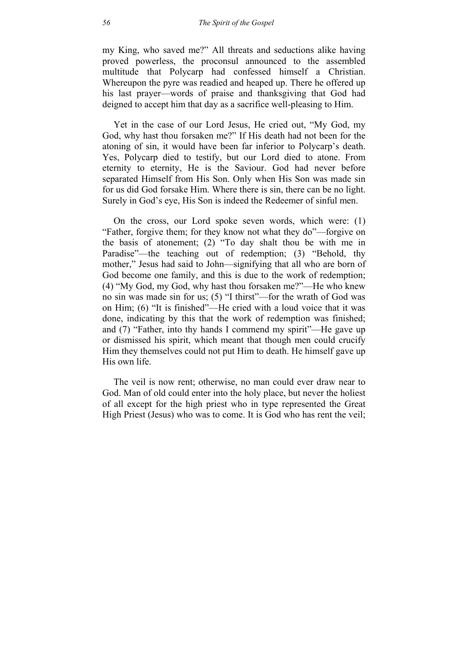my King, who saved me?" All threats and seductions alike having proved powerless, the proconsul announced to the assembled multitude that Polycarp had confessed himself a Christian. Whereupon the pyre was readied and heaped up. There he offered up his last prayer—words of praise and thanksgiving that God had deigned to accept him that day as a sacrifice well-pleasing to Him.

Yet in the case of our Lord Jesus, He cried out, "My God, my God, why hast thou forsaken me?" If His death had not been for the atoning of sin, it would have been far inferior to Polycarp's death. Yes, Polycarp died to testify, but our Lord died to atone. From eternity to eternity, He is the Saviour. God had never before separated Himself from His Son. Only when His Son was made sin for us did God forsake Him. Where there is sin, there can be no light. Surely in God's eye, His Son is indeed the Redeemer of sinful men.

On the cross, our Lord spoke seven words, which were: (1) "Father, forgive them; for they know not what they do"—forgive on the basis of atonement; (2) "To day shalt thou be with me in Paradise"—the teaching out of redemption; (3) "Behold, thy mother," Jesus had said to John—signifying that all who are born of God become one family, and this is due to the work of redemption; (4) "My God, my God, why hast thou forsaken me?"—He who knew no sin was made sin for us; (5) "I thirst"—for the wrath of God was on Him; (6) "It is finished"—He cried with a loud voice that it was done, indicating by this that the work of redemption was finished; and (7) "Father, into thy hands I commend my spirit"—He gave up or dismissed his spirit, which meant that though men could crucify Him they themselves could not put Him to death. He himself gave up His own life.

The veil is now rent; otherwise, no man could ever draw near to God. Man of old could enter into the holy place, but never the holiest of all except for the high priest who in type represented the Great High Priest (Jesus) who was to come. It is God who has rent the veil;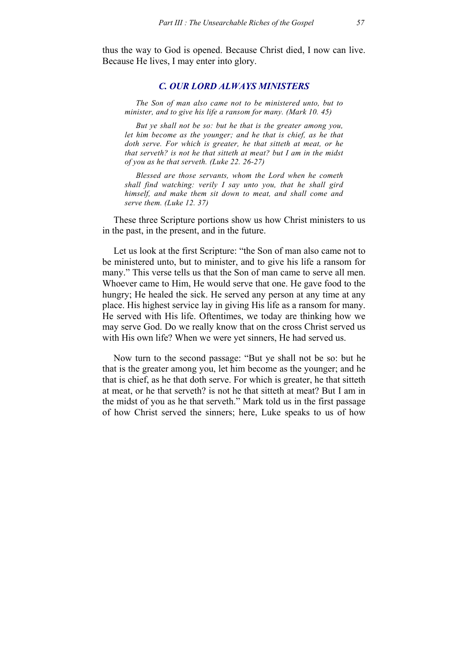thus the way to God is opened. Because Christ died, I now can live. Because He lives, I may enter into glory.

#### *C. OUR LORD ALWAYS MINISTERS*

*The Son of man also came not to be ministered unto, but to minister, and to give his life a ransom for many. (Mark 10. 45)* 

*But ye shall not be so: but he that is the greater among you, let him become as the younger; and he that is chief, as he that doth serve. For which is greater, he that sitteth at meat, or he that serveth? is not he that sitteth at meat? but I am in the midst of you as he that serveth. (Luke 22. 26-27)* 

*Blessed are those servants, whom the Lord when he cometh shall find watching: verily I say unto you, that he shall gird himself, and make them sit down to meat, and shall come and serve them. (Luke 12. 37)* 

These three Scripture portions show us how Christ ministers to us in the past, in the present, and in the future.

Let us look at the first Scripture: "the Son of man also came not to be ministered unto, but to minister, and to give his life a ransom for many." This verse tells us that the Son of man came to serve all men. Whoever came to Him, He would serve that one. He gave food to the hungry; He healed the sick. He served any person at any time at any place. His highest service lay in giving His life as a ransom for many. He served with His life. Oftentimes, we today are thinking how we may serve God. Do we really know that on the cross Christ served us with His own life? When we were yet sinners, He had served us.

Now turn to the second passage: "But ye shall not be so: but he that is the greater among you, let him become as the younger; and he that is chief, as he that doth serve. For which is greater, he that sitteth at meat, or he that serveth? is not he that sitteth at meat? But I am in the midst of you as he that serveth." Mark told us in the first passage of how Christ served the sinners; here, Luke speaks to us of how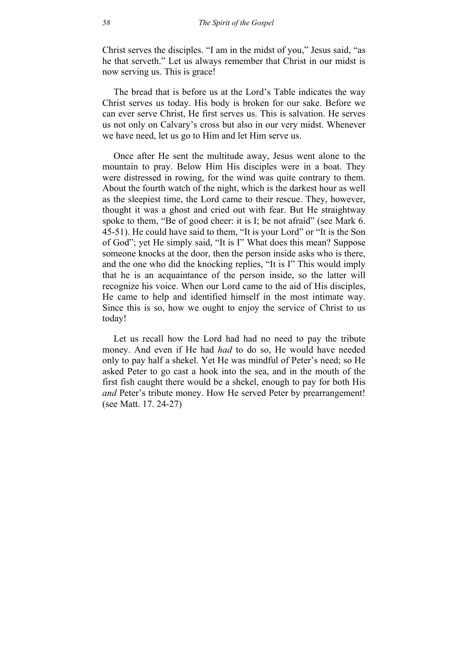Christ serves the disciples. "I am in the midst of you," Jesus said, "as he that serveth." Let us always remember that Christ in our midst is now serving us. This is grace!

The bread that is before us at the Lord's Table indicates the way Christ serves us today. His body is broken for our sake. Before we can ever serve Christ, He first serves us. This is salvation. He serves us not only on Calvary's cross but also in our very midst. Whenever we have need, let us go to Him and let Him serve us.

Once after He sent the multitude away, Jesus went alone to the mountain to pray. Below Him His disciples were in a boat. They were distressed in rowing, for the wind was quite contrary to them. About the fourth watch of the night, which is the darkest hour as well as the sleepiest time, the Lord came to their rescue. They, however, thought it was a ghost and cried out with fear. But He straightway spoke to them, "Be of good cheer: it is I; be not afraid" (see Mark 6. 45-51). He could have said to them, "It is your Lord" or "It is the Son of God"; yet He simply said, "It is I" What does this mean? Suppose someone knocks at the door, then the person inside asks who is there, and the one who did the knocking replies, "It is I" This would imply that he is an acquaintance of the person inside, so the latter will recognize his voice. When our Lord came to the aid of His disciples, He came to help and identified himself in the most intimate way. Since this is so, how we ought to enjoy the service of Christ to us today!

Let us recall how the Lord had had no need to pay the tribute money. And even if He had *had* to do so, He would have needed only to pay half a shekel. Yet He was mindful of Peter's need; so He asked Peter to go cast a hook into the sea, and in the mouth of the first fish caught there would be a shekel, enough to pay for both His *and* Peter's tribute money. How He served Peter by prearrangement! (see Matt. 17. 24-27)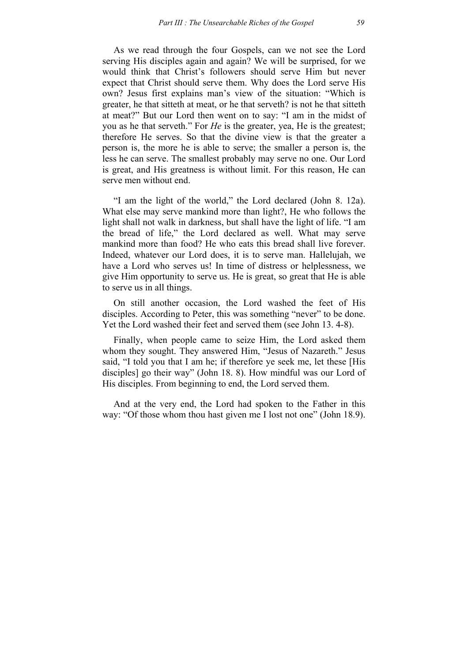As we read through the four Gospels, can we not see the Lord serving His disciples again and again? We will be surprised, for we would think that Christ's followers should serve Him but never expect that Christ should serve them. Why does the Lord serve His own? Jesus first explains man's view of the situation: "Which is greater, he that sitteth at meat, or he that serveth? is not he that sitteth at meat?" But our Lord then went on to say: "I am in the midst of you as he that serveth." For *He* is the greater, yea, He is the greatest; therefore He serves. So that the divine view is that the greater a person is, the more he is able to serve; the smaller a person is, the less he can serve. The smallest probably may serve no one. Our Lord is great, and His greatness is without limit. For this reason, He can serve men without end.

"I am the light of the world," the Lord declared (John 8. 12a). What else may serve mankind more than light?, He who follows the light shall not walk in darkness, but shall have the light of life. "I am the bread of life," the Lord declared as well. What may serve mankind more than food? He who eats this bread shall live forever. Indeed, whatever our Lord does, it is to serve man. Hallelujah, we have a Lord who serves us! In time of distress or helplessness, we give Him opportunity to serve us. He is great, so great that He is able to serve us in all things.

On still another occasion, the Lord washed the feet of His disciples. According to Peter, this was something "never" to be done. Yet the Lord washed their feet and served them (see John 13. 4-8).

Finally, when people came to seize Him, the Lord asked them whom they sought. They answered Him, "Jesus of Nazareth." Jesus said, "I told you that I am he; if therefore ye seek me, let these [His disciples] go their way" (John 18. 8). How mindful was our Lord of His disciples. From beginning to end, the Lord served them.

And at the very end, the Lord had spoken to the Father in this way: "Of those whom thou hast given me I lost not one" (John 18.9).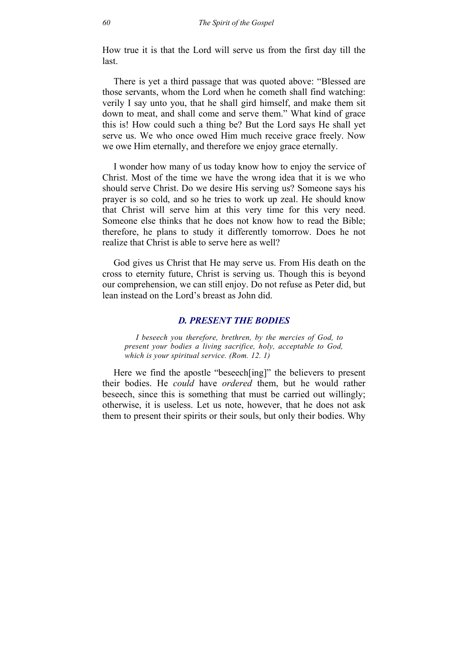How true it is that the Lord will serve us from the first day till the last.

There is yet a third passage that was quoted above: "Blessed are those servants, whom the Lord when he cometh shall find watching: verily I say unto you, that he shall gird himself, and make them sit down to meat, and shall come and serve them." What kind of grace this is! How could such a thing be? But the Lord says He shall yet serve us. We who once owed Him much receive grace freely. Now we owe Him eternally, and therefore we enjoy grace eternally.

I wonder how many of us today know how to enjoy the service of Christ. Most of the time we have the wrong idea that it is we who should serve Christ. Do we desire His serving us? Someone says his prayer is so cold, and so he tries to work up zeal. He should know that Christ will serve him at this very time for this very need. Someone else thinks that he does not know how to read the Bible; therefore, he plans to study it differently tomorrow. Does he not realize that Christ is able to serve here as well?

God gives us Christ that He may serve us. From His death on the cross to eternity future, Christ is serving us. Though this is beyond our comprehension, we can still enjoy. Do not refuse as Peter did, but lean instead on the Lord's breast as John did.

## *D. PRESENT THE BODIES*

*I beseech you therefore, brethren, by the mercies of God, to present your bodies a living sacrifice, holy, acceptable to God, which is your spiritual service. (Rom. 12. 1)* 

Here we find the apostle "beseech[ing]" the believers to present their bodies. He *could* have *ordered* them, but he would rather beseech, since this is something that must be carried out willingly; otherwise, it is useless. Let us note, however, that he does not ask them to present their spirits or their souls, but only their bodies. Why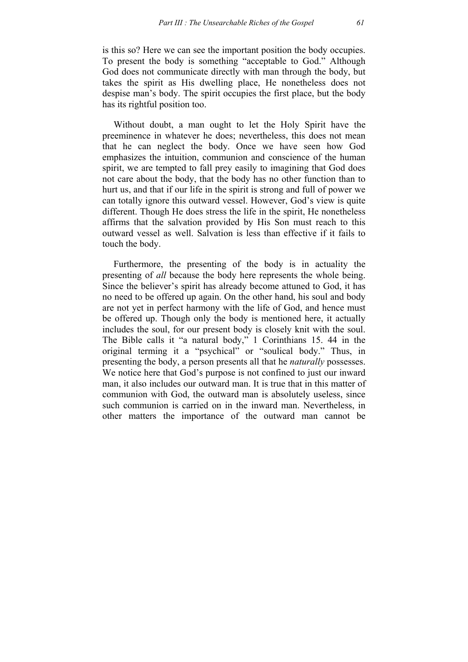is this so? Here we can see the important position the body occupies. To present the body is something "acceptable to God." Although God does not communicate directly with man through the body, but takes the spirit as His dwelling place, He nonetheless does not despise man's body. The spirit occupies the first place, but the body has its rightful position too.

Without doubt, a man ought to let the Holy Spirit have the preeminence in whatever he does; nevertheless, this does not mean that he can neglect the body. Once we have seen how God emphasizes the intuition, communion and conscience of the human spirit, we are tempted to fall prey easily to imagining that God does not care about the body, that the body has no other function than to hurt us, and that if our life in the spirit is strong and full of power we can totally ignore this outward vessel. However, God's view is quite different. Though He does stress the life in the spirit, He nonetheless affirms that the salvation provided by His Son must reach to this outward vessel as well. Salvation is less than effective if it fails to touch the body.

Furthermore, the presenting of the body is in actuality the presenting of *all* because the body here represents the whole being. Since the believer's spirit has already become attuned to God, it has no need to be offered up again. On the other hand, his soul and body are not yet in perfect harmony with the life of God, and hence must be offered up. Though only the body is mentioned here, it actually includes the soul, for our present body is closely knit with the soul. The Bible calls it "a natural body," 1 Corinthians 15. 44 in the original terming it a "psychical" or "soulical body." Thus, in presenting the body, a person presents all that he *naturally* possesses. We notice here that God's purpose is not confined to just our inward man, it also includes our outward man. It is true that in this matter of communion with God, the outward man is absolutely useless, since such communion is carried on in the inward man. Nevertheless, in other matters the importance of the outward man cannot be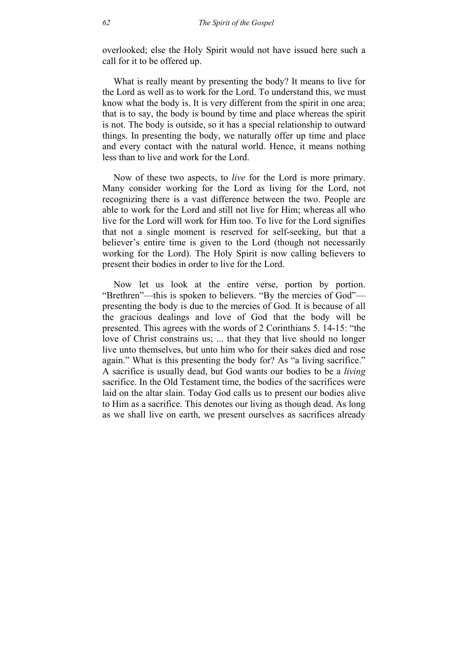overlooked; else the Holy Spirit would not have issued here such a call for it to be offered up.

What is really meant by presenting the body? It means to live for the Lord as well as to work for the Lord. To understand this, we must know what the body is. It is very different from the spirit in one area; that is to say, the body is bound by time and place whereas the spirit is not. The body is outside, so it has a special relationship to outward things. In presenting the body, we naturally offer up time and place and every contact with the natural world. Hence, it means nothing less than to live and work for the Lord.

Now of these two aspects, to *live* for the Lord is more primary. Many consider working for the Lord as living for the Lord, not recognizing there is a vast difference between the two. People are able to work for the Lord and still not live for Him; whereas all who live for the Lord will work for Him too. To live for the Lord signifies that not a single moment is reserved for self-seeking, but that a believer's entire time is given to the Lord (though not necessarily working for the Lord). The Holy Spirit is now calling believers to present their bodies in order to live for the Lord.

Now let us look at the entire verse, portion by portion. "Brethren"—this is spoken to believers. "By the mercies of God" presenting the body is due to the mercies of God. It is because of all the gracious dealings and love of God that the body will be presented. This agrees with the words of 2 Corinthians 5. 14-15: "the love of Christ constrains us; ... that they that live should no longer live unto themselves, but unto him who for their sakes died and rose again." What is this presenting the body for? As "a living sacrifice." A sacrifice is usually dead, but God wants our bodies to be a *living* sacrifice. In the Old Testament time, the bodies of the sacrifices were laid on the altar slain. Today God calls us to present our bodies alive to Him as a sacrifice. This denotes our living as though dead. As long as we shall live on earth, we present ourselves as sacrifices already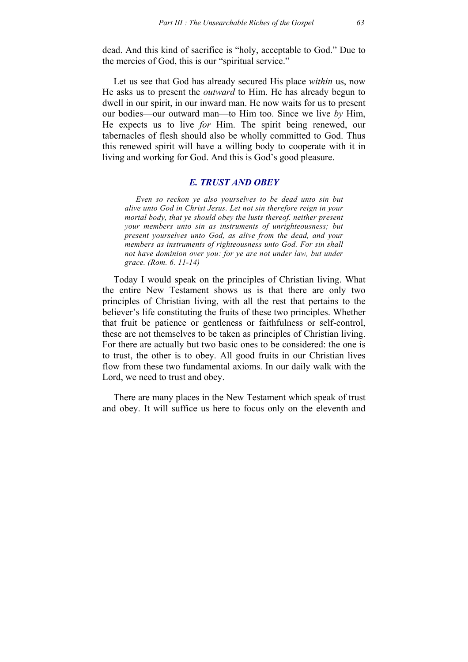dead. And this kind of sacrifice is "holy, acceptable to God." Due to the mercies of God, this is our "spiritual service."

Let us see that God has already secured His place *within* us, now He asks us to present the *outward* to Him. He has already begun to dwell in our spirit, in our inward man. He now waits for us to present our bodies—our outward man—to Him too. Since we live *by* Him, He expects us to live *for* Him. The spirit being renewed, our tabernacles of flesh should also be wholly committed to God. Thus this renewed spirit will have a willing body to cooperate with it in living and working for God. And this is God's good pleasure.

#### *E. TRUST AND OBEY*

*Even so reckon ye also yourselves to be dead unto sin but alive unto God in Christ Jesus. Let not sin therefore reign in your mortal body, that ye should obey the lusts thereof. neither present your members unto sin as instruments of unrighteousness; but present yourselves unto God, as alive from the dead, and your members as instruments of righteousness unto God. For sin shall not have dominion over you: for ye are not under law, but under grace. (Rom. 6. 11-14)* 

Today I would speak on the principles of Christian living. What the entire New Testament shows us is that there are only two principles of Christian living, with all the rest that pertains to the believer's life constituting the fruits of these two principles. Whether that fruit be patience or gentleness or faithfulness or self-control, these are not themselves to be taken as principles of Christian living. For there are actually but two basic ones to be considered: the one is to trust, the other is to obey. All good fruits in our Christian lives flow from these two fundamental axioms. In our daily walk with the Lord, we need to trust and obey.

There are many places in the New Testament which speak of trust and obey. It will suffice us here to focus only on the eleventh and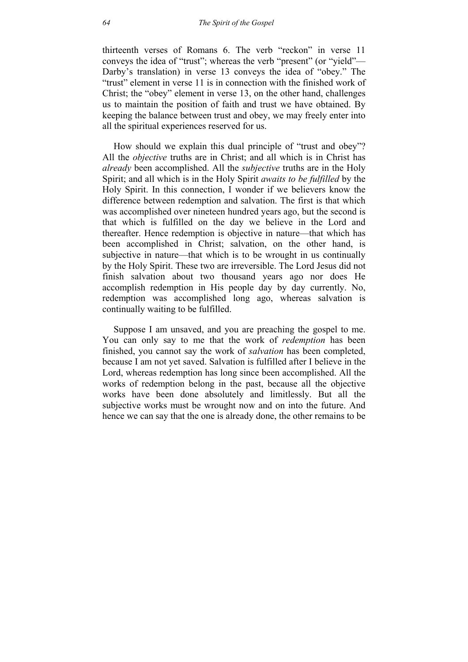thirteenth verses of Romans 6. The verb "reckon" in verse 11 conveys the idea of "trust"; whereas the verb "present" (or "yield"— Darby's translation) in verse 13 conveys the idea of "obey." The "trust" element in verse 11 is in connection with the finished work of Christ; the "obey" element in verse 13, on the other hand, challenges us to maintain the position of faith and trust we have obtained. By keeping the balance between trust and obey, we may freely enter into all the spiritual experiences reserved for us.

How should we explain this dual principle of "trust and obey"? All the *objective* truths are in Christ; and all which is in Christ has *already* been accomplished. All the *subjective* truths are in the Holy Spirit; and all which is in the Holy Spirit *awaits to be fulfilled* by the Holy Spirit. In this connection, I wonder if we believers know the difference between redemption and salvation. The first is that which was accomplished over nineteen hundred years ago, but the second is that which is fulfilled on the day we believe in the Lord and thereafter. Hence redemption is objective in nature—that which has been accomplished in Christ; salvation, on the other hand, is subjective in nature—that which is to be wrought in us continually by the Holy Spirit. These two are irreversible. The Lord Jesus did not finish salvation about two thousand years ago nor does He accomplish redemption in His people day by day currently. No, redemption was accomplished long ago, whereas salvation is continually waiting to be fulfilled.

Suppose I am unsaved, and you are preaching the gospel to me. You can only say to me that the work of *redemption* has been finished, you cannot say the work of *salvation* has been completed, because I am not yet saved. Salvation is fulfilled after I believe in the Lord, whereas redemption has long since been accomplished. All the works of redemption belong in the past, because all the objective works have been done absolutely and limitlessly. But all the subjective works must be wrought now and on into the future. And hence we can say that the one is already done, the other remains to be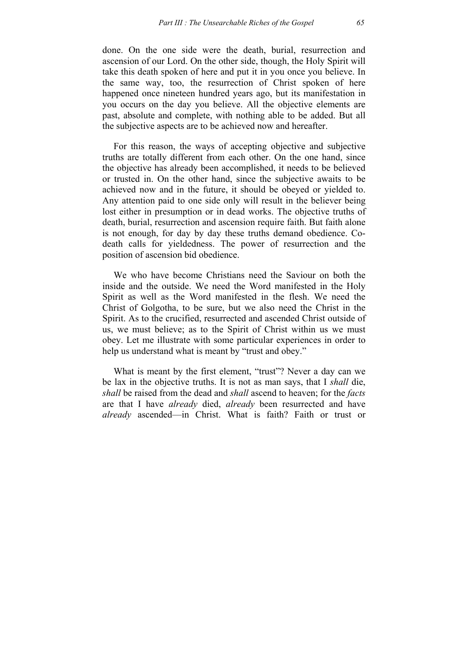done. On the one side were the death, burial, resurrection and ascension of our Lord. On the other side, though, the Holy Spirit will take this death spoken of here and put it in you once you believe. In the same way, too, the resurrection of Christ spoken of here happened once nineteen hundred years ago, but its manifestation in you occurs on the day you believe. All the objective elements are past, absolute and complete, with nothing able to be added. But all the subjective aspects are to be achieved now and hereafter.

For this reason, the ways of accepting objective and subjective truths are totally different from each other. On the one hand, since the objective has already been accomplished, it needs to be believed or trusted in. On the other hand, since the subjective awaits to be achieved now and in the future, it should be obeyed or yielded to. Any attention paid to one side only will result in the believer being lost either in presumption or in dead works. The objective truths of death, burial, resurrection and ascension require faith. But faith alone is not enough, for day by day these truths demand obedience. Codeath calls for yieldedness. The power of resurrection and the position of ascension bid obedience.

We who have become Christians need the Saviour on both the inside and the outside. We need the Word manifested in the Holy Spirit as well as the Word manifested in the flesh. We need the Christ of Golgotha, to be sure, but we also need the Christ in the Spirit. As to the crucified, resurrected and ascended Christ outside of us, we must believe; as to the Spirit of Christ within us we must obey. Let me illustrate with some particular experiences in order to help us understand what is meant by "trust and obey."

What is meant by the first element, "trust"? Never a day can we be lax in the objective truths. It is not as man says, that I *shall* die, *shall* be raised from the dead and *shall* ascend to heaven; for the *facts* are that I have *already* died, *already* been resurrected and have *already* ascended—in Christ. What is faith? Faith or trust or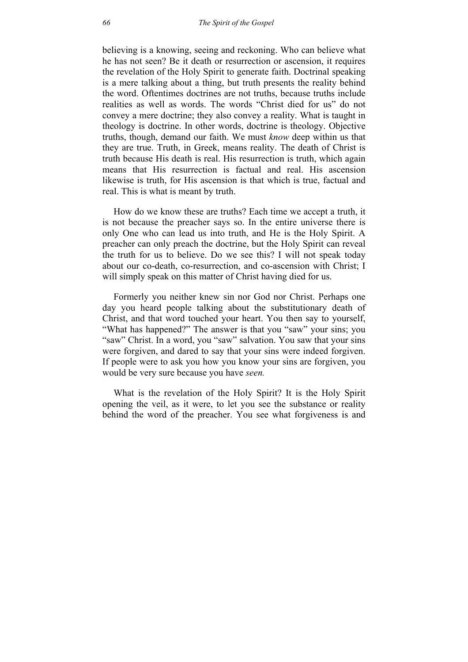believing is a knowing, seeing and reckoning. Who can believe what he has not seen? Be it death or resurrection or ascension, it requires the revelation of the Holy Spirit to generate faith. Doctrinal speaking is a mere talking about a thing, but truth presents the reality behind the word. Oftentimes doctrines are not truths, because truths include realities as well as words. The words "Christ died for us" do not convey a mere doctrine; they also convey a reality. What is taught in theology is doctrine. In other words, doctrine is theology. Objective truths, though, demand our faith. We must *know* deep within us that they are true. Truth, in Greek, means reality. The death of Christ is truth because His death is real. His resurrection is truth, which again means that His resurrection is factual and real. His ascension likewise is truth, for His ascension is that which is true, factual and real. This is what is meant by truth.

How do we know these are truths? Each time we accept a truth, it is not because the preacher says so. In the entire universe there is only One who can lead us into truth, and He is the Holy Spirit. A preacher can only preach the doctrine, but the Holy Spirit can reveal the truth for us to believe. Do we see this? I will not speak today about our co-death, co-resurrection, and co-ascension with Christ; I will simply speak on this matter of Christ having died for us.

Formerly you neither knew sin nor God nor Christ. Perhaps one day you heard people talking about the substitutionary death of Christ, and that word touched your heart. You then say to yourself, "What has happened?" The answer is that you "saw" your sins; you "saw" Christ. In a word, you "saw" salvation. You saw that your sins were forgiven, and dared to say that your sins were indeed forgiven. If people were to ask you how you know your sins are forgiven, you would be very sure because you have *seen.*

What is the revelation of the Holy Spirit? It is the Holy Spirit opening the veil, as it were, to let you see the substance or reality behind the word of the preacher. You see what forgiveness is and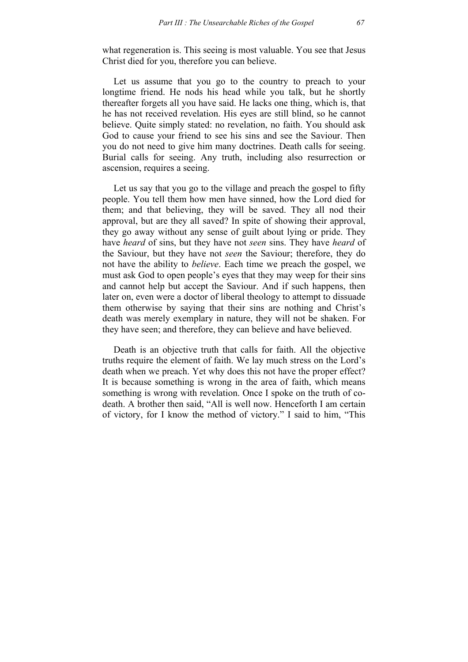what regeneration is. This seeing is most valuable. You see that Jesus Christ died for you, therefore you can believe.

Let us assume that you go to the country to preach to your longtime friend. He nods his head while you talk, but he shortly thereafter forgets all you have said. He lacks one thing, which is, that he has not received revelation. His eyes are still blind, so he cannot believe. Quite simply stated: no revelation, no faith. You should ask God to cause your friend to see his sins and see the Saviour. Then you do not need to give him many doctrines. Death calls for seeing. Burial calls for seeing. Any truth, including also resurrection or ascension, requires a seeing.

Let us say that you go to the village and preach the gospel to fifty people. You tell them how men have sinned, how the Lord died for them; and that believing, they will be saved. They all nod their approval, but are they all saved? In spite of showing their approval, they go away without any sense of guilt about lying or pride. They have *heard* of sins, but they have not *seen* sins. They have *heard* of the Saviour, but they have not *seen* the Saviour; therefore, they do not have the ability to *believe*. Each time we preach the gospel, we must ask God to open people's eyes that they may weep for their sins and cannot help but accept the Saviour. And if such happens, then later on, even were a doctor of liberal theology to attempt to dissuade them otherwise by saying that their sins are nothing and Christ's death was merely exemplary in nature, they will not be shaken. For they have seen; and therefore, they can believe and have believed.

Death is an objective truth that calls for faith. All the objective truths require the element of faith. We lay much stress on the Lord's death when we preach. Yet why does this not have the proper effect? It is because something is wrong in the area of faith, which means something is wrong with revelation. Once I spoke on the truth of codeath. A brother then said, "All is well now. Henceforth I am certain of victory, for I know the method of victory." I said to him, "This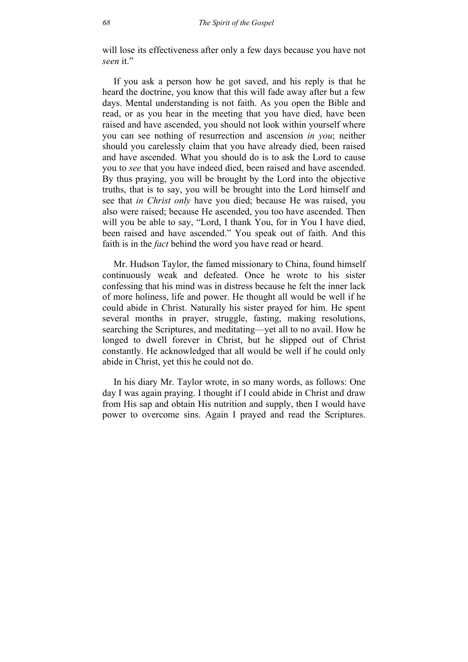will lose its effectiveness after only a few days because you have not *seen* it."

If you ask a person how he got saved, and his reply is that he heard the doctrine, you know that this will fade away after but a few days. Mental understanding is not faith. As you open the Bible and read, or as you hear in the meeting that you have died, have been raised and have ascended, you should not look within yourself where you can see nothing of resurrection and ascension *in you*; neither should you carelessly claim that you have already died, been raised and have ascended. What you should do is to ask the Lord to cause you to *see* that you have indeed died, been raised and have ascended. By thus praying, you will be brought by the Lord into the objective truths, that is to say, you will be brought into the Lord himself and see that *in Christ only* have you died; because He was raised, you also were raised; because He ascended, you too have ascended. Then will you be able to say, "Lord, I thank You, for in You I have died, been raised and have ascended." You speak out of faith. And this faith is in the *fact* behind the word you have read or heard.

Mr. Hudson Taylor, the famed missionary to China, found himself continuously weak and defeated. Once he wrote to his sister confessing that his mind was in distress because he felt the inner lack of more holiness, life and power. He thought all would be well if he could abide in Christ. Naturally his sister prayed for him. He spent several months in prayer, struggle, fasting, making resolutions, searching the Scriptures, and meditating—yet all to no avail. How he longed to dwell forever in Christ, but he slipped out of Christ constantly. He acknowledged that all would be well if he could only abide in Christ, yet this he could not do.

In his diary Mr. Taylor wrote, in so many words, as follows: One day I was again praying. I thought if I could abide in Christ and draw from His sap and obtain His nutrition and supply, then I would have power to overcome sins. Again I prayed and read the Scriptures.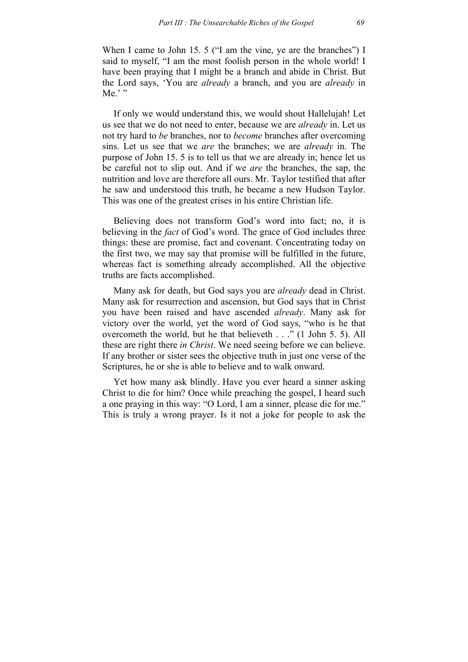When I came to John 15. 5 ("I am the vine, ye are the branches") I said to myself, "I am the most foolish person in the whole world! I have been praying that I might be a branch and abide in Christ. But the Lord says, 'You are *already* a branch, and you are *already* in  $Me$ , "

If only we would understand this, we would shout Hallelujah! Let us see that we do not need to enter, because we are *already* in. Let us not try hard to *be* branches, nor to *become* branches after overcoming sins. Let us see that we *are* the branches; we are *already* in. The purpose of John 15. 5 is to tell us that we are already in; hence let us be careful not to slip out. And if we *are* the branches, the sap, the nutrition and love are therefore all ours. Mr. Taylor testified that after he saw and understood this truth, he became a new Hudson Taylor. This was one of the greatest crises in his entire Christian life.

Believing does not transform God's word into fact; no, it is believing in the *fact* of God's word. The grace of God includes three things: these are promise, fact and covenant. Concentrating today on the first two, we may say that promise will be fulfilled in the future, whereas fact is something already accomplished. All the objective truths are facts accomplished.

Many ask for death, but God says you are *already* dead in Christ. Many ask for resurrection and ascension, but God says that in Christ you have been raised and have ascended *already*. Many ask for victory over the world, yet the word of God says, "who is he that overcometh the world, but he that believeth . . ." (1 John 5. 5). All these are right there *in Christ*. We need seeing before we can believe. If any brother or sister sees the objective truth in just one verse of the Scriptures, he or she is able to believe and to walk onward.

Yet how many ask blindly. Have you ever heard a sinner asking Christ to die for him? Once while preaching the gospel, I heard such a one praying in this way: "O Lord, I am a sinner, please die for me." This is truly a wrong prayer. Is it not a joke for people to ask the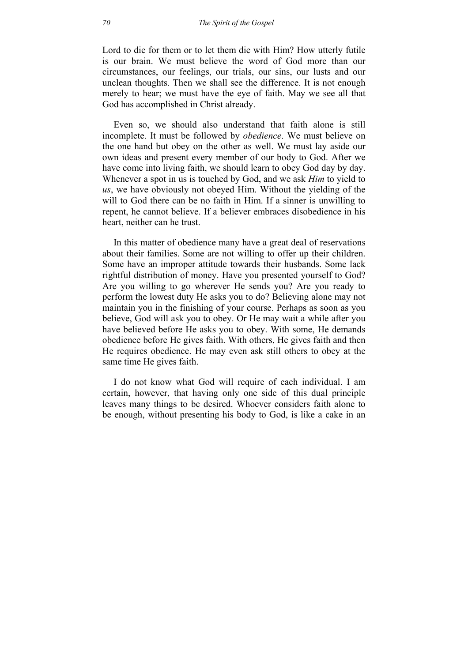Lord to die for them or to let them die with Him? How utterly futile is our brain. We must believe the word of God more than our circumstances, our feelings, our trials, our sins, our lusts and our unclean thoughts. Then we shall see the difference. It is not enough merely to hear; we must have the eye of faith. May we see all that God has accomplished in Christ already.

Even so, we should also understand that faith alone is still incomplete. It must be followed by *obedience*. We must believe on the one hand but obey on the other as well. We must lay aside our own ideas and present every member of our body to God. After we have come into living faith, we should learn to obey God day by day. Whenever a spot in us is touched by God, and we ask *Him* to yield to *us*, we have obviously not obeyed Him. Without the yielding of the will to God there can be no faith in Him. If a sinner is unwilling to repent, he cannot believe. If a believer embraces disobedience in his heart, neither can he trust.

In this matter of obedience many have a great deal of reservations about their families. Some are not willing to offer up their children. Some have an improper attitude towards their husbands. Some lack rightful distribution of money. Have you presented yourself to God? Are you willing to go wherever He sends you? Are you ready to perform the lowest duty He asks you to do? Believing alone may not maintain you in the finishing of your course. Perhaps as soon as you believe, God will ask you to obey. Or He may wait a while after you have believed before He asks you to obey. With some, He demands obedience before He gives faith. With others, He gives faith and then He requires obedience. He may even ask still others to obey at the same time He gives faith.

I do not know what God will require of each individual. I am certain, however, that having only one side of this dual principle leaves many things to be desired. Whoever considers faith alone to be enough, without presenting his body to God, is like a cake in an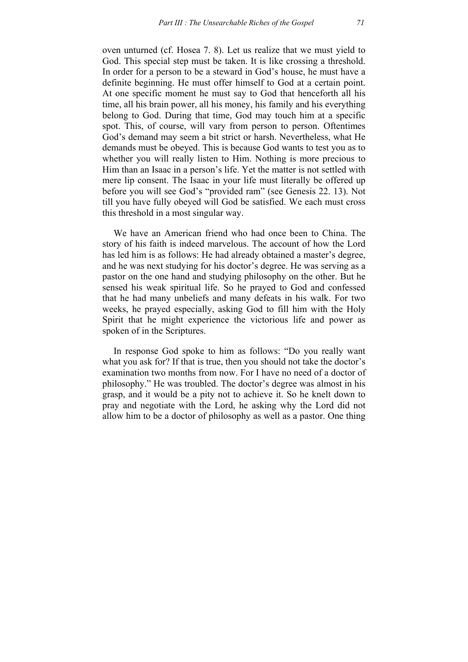oven unturned (cf. Hosea 7. 8). Let us realize that we must yield to God. This special step must be taken. It is like crossing a threshold. In order for a person to be a steward in God's house, he must have a definite beginning. He must offer himself to God at a certain point. At one specific moment he must say to God that henceforth all his time, all his brain power, all his money, his family and his everything belong to God. During that time, God may touch him at a specific spot. This, of course, will vary from person to person. Oftentimes God's demand may seem a bit strict or harsh. Nevertheless, what He demands must be obeyed. This is because God wants to test you as to whether you will really listen to Him. Nothing is more precious to Him than an Isaac in a person's life. Yet the matter is not settled with mere lip consent. The Isaac in your life must literally be offered up before you will see God's "provided ram" (see Genesis 22. 13). Not till you have fully obeyed will God be satisfied. We each must cross this threshold in a most singular way.

We have an American friend who had once been to China. The story of his faith is indeed marvelous. The account of how the Lord has led him is as follows: He had already obtained a master's degree, and he was next studying for his doctor's degree. He was serving as a pastor on the one hand and studying philosophy on the other. But he sensed his weak spiritual life. So he prayed to God and confessed that he had many unbeliefs and many defeats in his walk. For two weeks, he prayed especially, asking God to fill him with the Holy Spirit that he might experience the victorious life and power as spoken of in the Scriptures.

In response God spoke to him as follows: "Do you really want what you ask for? If that is true, then you should not take the doctor's examination two months from now. For I have no need of a doctor of philosophy." He was troubled. The doctor's degree was almost in his grasp, and it would be a pity not to achieve it. So he knelt down to pray and negotiate with the Lord, he asking why the Lord did not allow him to be a doctor of philosophy as well as a pastor. One thing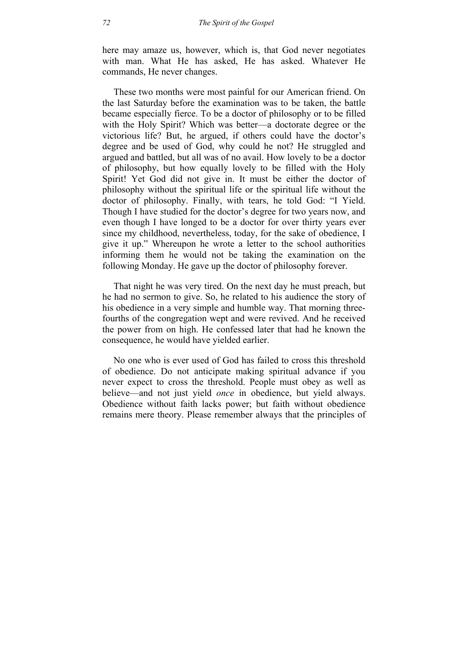here may amaze us, however, which is, that God never negotiates with man. What He has asked, He has asked. Whatever He commands, He never changes.

These two months were most painful for our American friend. On the last Saturday before the examination was to be taken, the battle became especially fierce. To be a doctor of philosophy or to be filled with the Holy Spirit? Which was better—a doctorate degree or the victorious life? But, he argued, if others could have the doctor's degree and be used of God, why could he not? He struggled and argued and battled, but all was of no avail. How lovely to be a doctor of philosophy, but how equally lovely to be filled with the Holy Spirit! Yet God did not give in. It must be either the doctor of philosophy without the spiritual life or the spiritual life without the doctor of philosophy. Finally, with tears, he told God: "I Yield. Though I have studied for the doctor's degree for two years now, and even though I have longed to be a doctor for over thirty years ever since my childhood, nevertheless, today, for the sake of obedience, I give it up." Whereupon he wrote a letter to the school authorities informing them he would not be taking the examination on the following Monday. He gave up the doctor of philosophy forever.

That night he was very tired. On the next day he must preach, but he had no sermon to give. So, he related to his audience the story of his obedience in a very simple and humble way. That morning threefourths of the congregation wept and were revived. And he received the power from on high. He confessed later that had he known the consequence, he would have yielded earlier.

No one who is ever used of God has failed to cross this threshold of obedience. Do not anticipate making spiritual advance if you never expect to cross the threshold. People must obey as well as believe—and not just yield *once* in obedience, but yield always. Obedience without faith lacks power; but faith without obedience remains mere theory. Please remember always that the principles of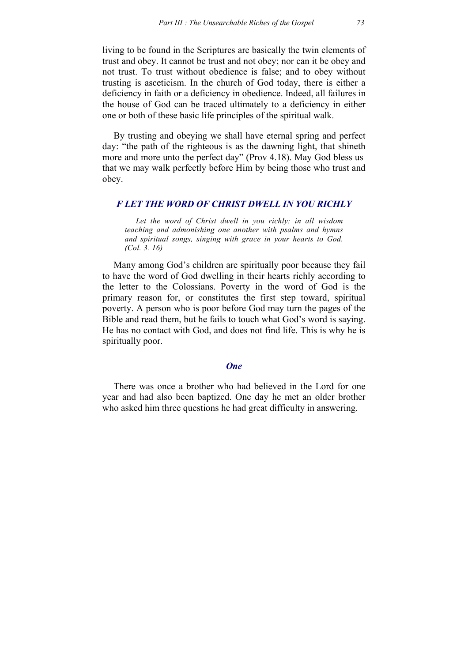living to be found in the Scriptures are basically the twin elements of trust and obey. It cannot be trust and not obey; nor can it be obey and not trust. To trust without obedience is false; and to obey without trusting is asceticism. In the church of God today, there is either a deficiency in faith or a deficiency in obedience. Indeed, all failures in the house of God can be traced ultimately to a deficiency in either one or both of these basic life principles of the spiritual walk.

By trusting and obeying we shall have eternal spring and perfect day: "the path of the righteous is as the dawning light, that shineth more and more unto the perfect day" (Prov 4.18). May God bless us that we may walk perfectly before Him by being those who trust and obey.

## *F LET THE WORD OF CHRIST DWELL IN YOU RICHLY*

*Let the word of Christ dwell in you richly; in all wisdom teaching and admonishing one another with psalms and hymns and spiritual songs, singing with grace in your hearts to God. (Col. 3. 16)* 

Many among God's children are spiritually poor because they fail to have the word of God dwelling in their hearts richly according to the letter to the Colossians. Poverty in the word of God is the primary reason for, or constitutes the first step toward, spiritual poverty. A person who is poor before God may turn the pages of the Bible and read them, but he fails to touch what God's word is saying. He has no contact with God, and does not find life. This is why he is spiritually poor.

#### *One*

There was once a brother who had believed in the Lord for one year and had also been baptized. One day he met an older brother who asked him three questions he had great difficulty in answering.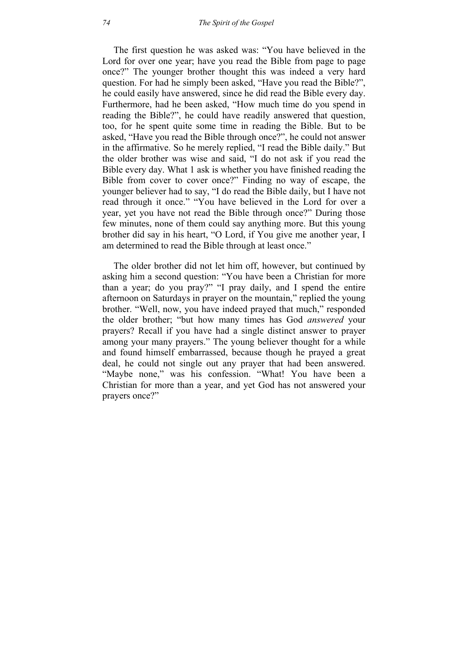The first question he was asked was: "You have believed in the Lord for over one year; have you read the Bible from page to page once?" The younger brother thought this was indeed a very hard question. For had he simply been asked, "Have you read the Bible?", he could easily have answered, since he did read the Bible every day. Furthermore, had he been asked, "How much time do you spend in reading the Bible?", he could have readily answered that question, too, for he spent quite some time in reading the Bible. But to be asked, "Have you read the Bible through once?", he could not answer in the affirmative. So he merely replied, "I read the Bible daily." But the older brother was wise and said, "I do not ask if you read the Bible every day. What 1 ask is whether you have finished reading the Bible from cover to cover once?" Finding no way of escape, the younger believer had to say, "I do read the Bible daily, but I have not read through it once." "You have believed in the Lord for over a year, yet you have not read the Bible through once?" During those few minutes, none of them could say anything more. But this young brother did say in his heart, "O Lord, if You give me another year, I am determined to read the Bible through at least once."

The older brother did not let him off, however, but continued by asking him a second question: "You have been a Christian for more than a year; do you pray?" "I pray daily, and I spend the entire afternoon on Saturdays in prayer on the mountain," replied the young brother. "Well, now, you have indeed prayed that much," responded the older brother; "but how many times has God *answered* your prayers? Recall if you have had a single distinct answer to prayer among your many prayers." The young believer thought for a while and found himself embarrassed, because though he prayed a great deal, he could not single out any prayer that had been answered. "Maybe none," was his confession. "What! You have been a Christian for more than a year, and yet God has not answered your prayers once?"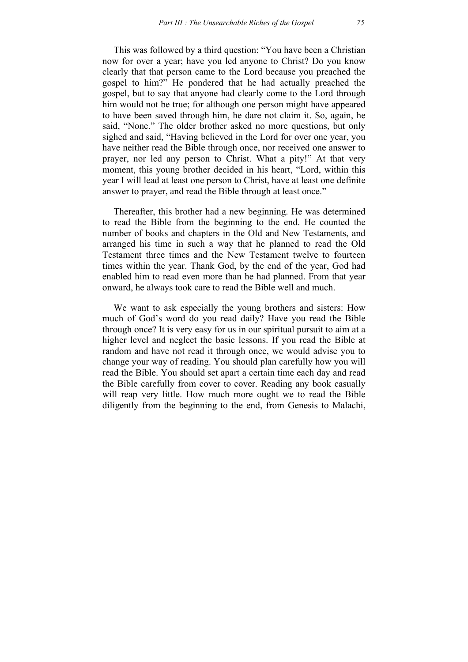This was followed by a third question: "You have been a Christian now for over a year; have you led anyone to Christ? Do you know clearly that that person came to the Lord because you preached the gospel to him?" He pondered that he had actually preached the gospel, but to say that anyone had clearly come to the Lord through him would not be true; for although one person might have appeared to have been saved through him, he dare not claim it. So, again, he said, "None." The older brother asked no more questions, but only sighed and said, "Having believed in the Lord for over one year, you have neither read the Bible through once, nor received one answer to prayer, nor led any person to Christ. What a pity!" At that very moment, this young brother decided in his heart, "Lord, within this year I will lead at least one person to Christ, have at least one definite answer to prayer, and read the Bible through at least once."

Thereafter, this brother had a new beginning. He was determined to read the Bible from the beginning to the end. He counted the number of books and chapters in the Old and New Testaments, and arranged his time in such a way that he planned to read the Old Testament three times and the New Testament twelve to fourteen times within the year. Thank God, by the end of the year, God had enabled him to read even more than he had planned. From that year onward, he always took care to read the Bible well and much.

We want to ask especially the young brothers and sisters: How much of God's word do you read daily? Have you read the Bible through once? It is very easy for us in our spiritual pursuit to aim at a higher level and neglect the basic lessons. If you read the Bible at random and have not read it through once, we would advise you to change your way of reading. You should plan carefully how you will read the Bible. You should set apart a certain time each day and read the Bible carefully from cover to cover. Reading any book casually will reap very little. How much more ought we to read the Bible diligently from the beginning to the end, from Genesis to Malachi,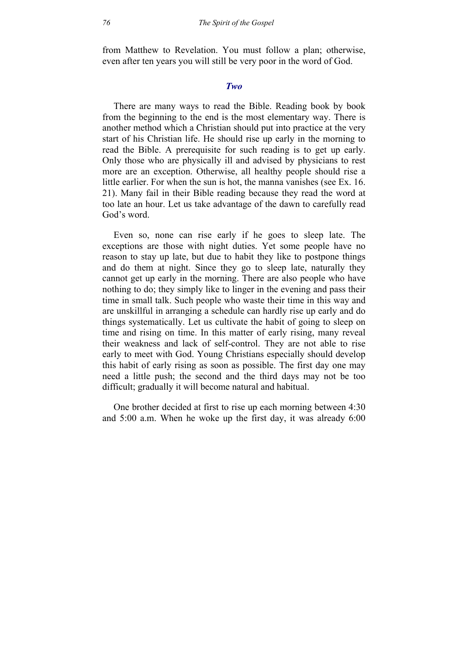from Matthew to Revelation. You must follow a plan; otherwise, even after ten years you will still be very poor in the word of God.

#### *Two*

There are many ways to read the Bible. Reading book by book from the beginning to the end is the most elementary way. There is another method which a Christian should put into practice at the very start of his Christian life. He should rise up early in the morning to read the Bible. A prerequisite for such reading is to get up early. Only those who are physically ill and advised by physicians to rest more are an exception. Otherwise, all healthy people should rise a little earlier. For when the sun is hot, the manna vanishes (see Ex. 16. 21). Many fail in their Bible reading because they read the word at too late an hour. Let us take advantage of the dawn to carefully read God's word.

Even so, none can rise early if he goes to sleep late. The exceptions are those with night duties. Yet some people have no reason to stay up late, but due to habit they like to postpone things and do them at night. Since they go to sleep late, naturally they cannot get up early in the morning. There are also people who have nothing to do; they simply like to linger in the evening and pass their time in small talk. Such people who waste their time in this way and are unskillful in arranging a schedule can hardly rise up early and do things systematically. Let us cultivate the habit of going to sleep on time and rising on time. In this matter of early rising, many reveal their weakness and lack of self-control. They are not able to rise early to meet with God. Young Christians especially should develop this habit of early rising as soon as possible. The first day one may need a little push; the second and the third days may not be too difficult; gradually it will become natural and habitual.

One brother decided at first to rise up each morning between 4:30 and 5:00 a.m. When he woke up the first day, it was already 6:00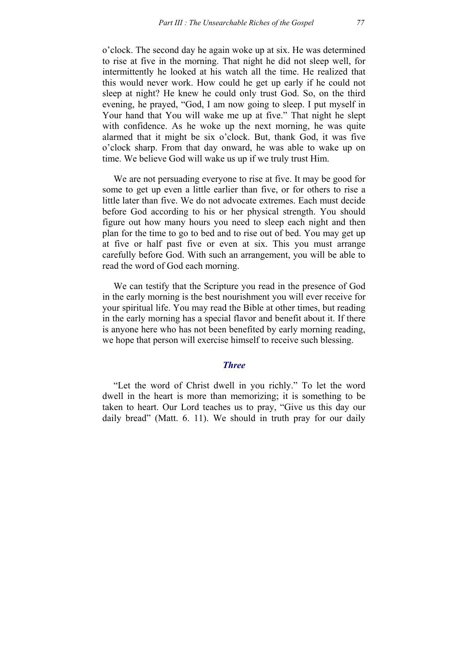o'clock. The second day he again woke up at six. He was determined to rise at five in the morning. That night he did not sleep well, for intermittently he looked at his watch all the time. He realized that this would never work. How could he get up early if he could not sleep at night? He knew he could only trust God. So, on the third evening, he prayed, "God, I am now going to sleep. I put myself in Your hand that You will wake me up at five." That night he slept with confidence. As he woke up the next morning, he was quite alarmed that it might be six o'clock. But, thank God, it was five o'clock sharp. From that day onward, he was able to wake up on time. We believe God will wake us up if we truly trust Him.

We are not persuading everyone to rise at five. It may be good for some to get up even a little earlier than five, or for others to rise a little later than five. We do not advocate extremes. Each must decide before God according to his or her physical strength. You should figure out how many hours you need to sleep each night and then plan for the time to go to bed and to rise out of bed. You may get up at five or half past five or even at six. This you must arrange carefully before God. With such an arrangement, you will be able to read the word of God each morning.

We can testify that the Scripture you read in the presence of God in the early morning is the best nourishment you will ever receive for your spiritual life. You may read the Bible at other times, but reading in the early morning has a special flavor and benefit about it. If there is anyone here who has not been benefited by early morning reading, we hope that person will exercise himself to receive such blessing.

## *Three*

"Let the word of Christ dwell in you richly." To let the word dwell in the heart is more than memorizing; it is something to be taken to heart. Our Lord teaches us to pray, "Give us this day our daily bread" (Matt. 6. 11). We should in truth pray for our daily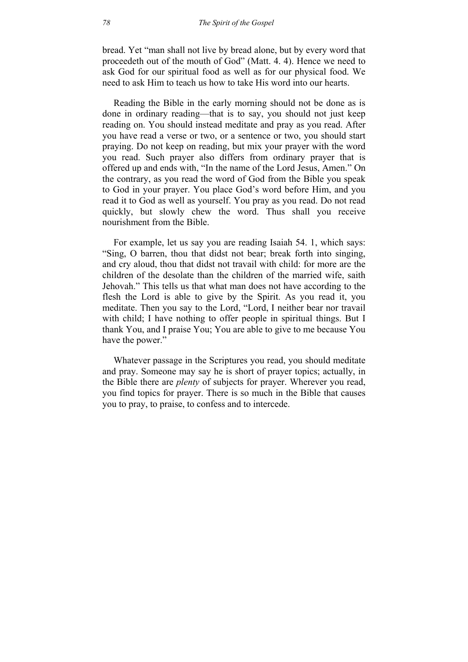bread. Yet "man shall not live by bread alone, but by every word that proceedeth out of the mouth of God" (Matt. 4. 4). Hence we need to ask God for our spiritual food as well as for our physical food. We need to ask Him to teach us how to take His word into our hearts.

Reading the Bible in the early morning should not be done as is done in ordinary reading—that is to say, you should not just keep reading on. You should instead meditate and pray as you read. After you have read a verse or two, or a sentence or two, you should start praying. Do not keep on reading, but mix your prayer with the word you read. Such prayer also differs from ordinary prayer that is offered up and ends with, "In the name of the Lord Jesus, Amen." On the contrary, as you read the word of God from the Bible you speak to God in your prayer. You place God's word before Him, and you read it to God as well as yourself. You pray as you read. Do not read quickly, but slowly chew the word. Thus shall you receive nourishment from the Bible.

For example, let us say you are reading Isaiah 54. 1, which says: "Sing, O barren, thou that didst not bear; break forth into singing, and cry aloud, thou that didst not travail with child: for more are the children of the desolate than the children of the married wife, saith Jehovah." This tells us that what man does not have according to the flesh the Lord is able to give by the Spirit. As you read it, you meditate. Then you say to the Lord, "Lord, I neither bear nor travail with child; I have nothing to offer people in spiritual things. But I thank You, and I praise You; You are able to give to me because You have the power."

Whatever passage in the Scriptures you read, you should meditate and pray. Someone may say he is short of prayer topics; actually, in the Bible there are *plenty* of subjects for prayer. Wherever you read, you find topics for prayer. There is so much in the Bible that causes you to pray, to praise, to confess and to intercede.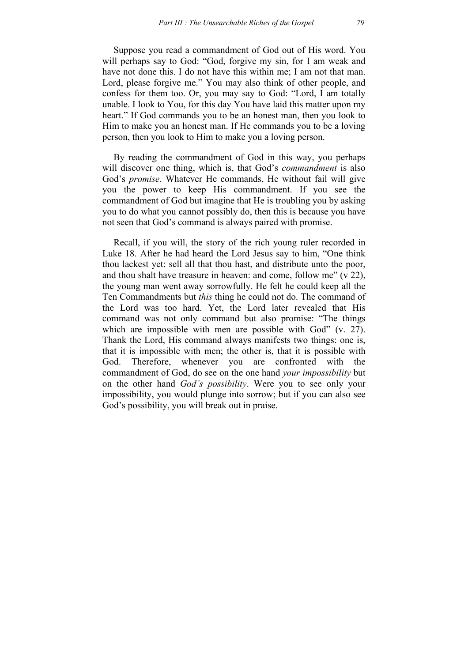Suppose you read a commandment of God out of His word. You will perhaps say to God: "God, forgive my sin, for I am weak and have not done this. I do not have this within me; I am not that man. Lord, please forgive me." You may also think of other people, and confess for them too. Or, you may say to God: "Lord, I am totally unable. I look to You, for this day You have laid this matter upon my heart." If God commands you to be an honest man, then you look to Him to make you an honest man. If He commands you to be a loving person, then you look to Him to make you a loving person.

By reading the commandment of God in this way, you perhaps will discover one thing, which is, that God's *commandment* is also God's *promise*. Whatever He commands, He without fail will give you the power to keep His commandment. If you see the commandment of God but imagine that He is troubling you by asking you to do what you cannot possibly do, then this is because you have not seen that God's command is always paired with promise.

Recall, if you will, the story of the rich young ruler recorded in Luke 18. After he had heard the Lord Jesus say to him, "One think thou lackest yet: sell all that thou hast, and distribute unto the poor, and thou shalt have treasure in heaven: and come, follow me"  $(v 22)$ , the young man went away sorrowfully. He felt he could keep all the Ten Commandments but *this* thing he could not do. The command of the Lord was too hard. Yet, the Lord later revealed that His command was not only command but also promise: "The things which are impossible with men are possible with God" (v. 27). Thank the Lord, His command always manifests two things: one is, that it is impossible with men; the other is, that it is possible with God. Therefore, whenever you are confronted with the commandment of God, do see on the one hand *your impossibility* but on the other hand *God's possibility*. Were you to see only your impossibility, you would plunge into sorrow; but if you can also see God's possibility, you will break out in praise.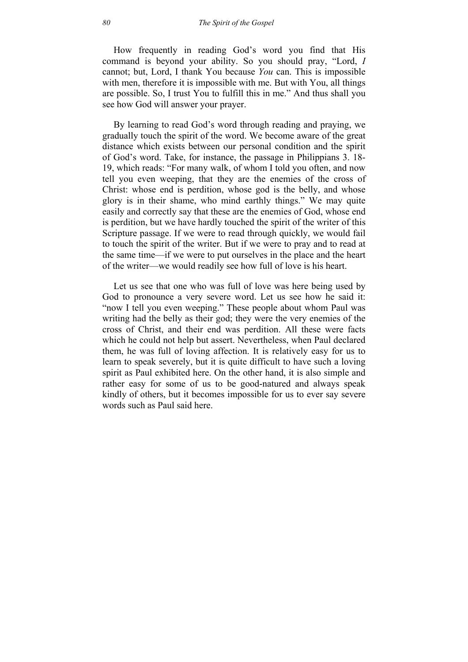How frequently in reading God's word you find that His command is beyond your ability. So you should pray, "Lord, *I* cannot; but, Lord, I thank You because *You* can. This is impossible with men, therefore it is impossible with me. But with You, all things are possible. So, I trust You to fulfill this in me." And thus shall you see how God will answer your prayer.

By learning to read God's word through reading and praying, we gradually touch the spirit of the word. We become aware of the great distance which exists between our personal condition and the spirit of God's word. Take, for instance, the passage in Philippians 3. 18- 19, which reads: "For many walk, of whom I told you often, and now tell you even weeping, that they are the enemies of the cross of Christ: whose end is perdition, whose god is the belly, and whose glory is in their shame, who mind earthly things." We may quite easily and correctly say that these are the enemies of God, whose end is perdition, but we have hardly touched the spirit of the writer of this Scripture passage. If we were to read through quickly, we would fail to touch the spirit of the writer. But if we were to pray and to read at the same time—if we were to put ourselves in the place and the heart of the writer—we would readily see how full of love is his heart.

Let us see that one who was full of love was here being used by God to pronounce a very severe word. Let us see how he said it: "now I tell you even weeping." These people about whom Paul was writing had the belly as their god; they were the very enemies of the cross of Christ, and their end was perdition. All these were facts which he could not help but assert. Nevertheless, when Paul declared them, he was full of loving affection. It is relatively easy for us to learn to speak severely, but it is quite difficult to have such a loving spirit as Paul exhibited here. On the other hand, it is also simple and rather easy for some of us to be good-natured and always speak kindly of others, but it becomes impossible for us to ever say severe words such as Paul said here.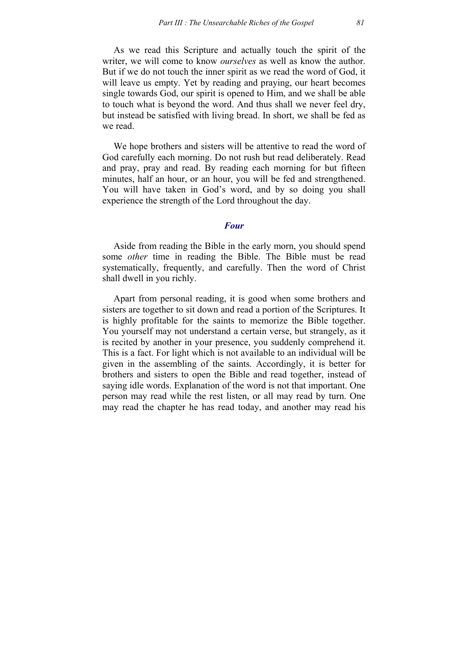As we read this Scripture and actually touch the spirit of the writer, we will come to know *ourselves* as well as know the author. But if we do not touch the inner spirit as we read the word of God, it will leave us empty. Yet by reading and praying, our heart becomes single towards God, our spirit is opened to Him, and we shall be able to touch what is beyond the word. And thus shall we never feel dry, but instead be satisfied with living bread. In short, we shall be fed as we read.

We hope brothers and sisters will be attentive to read the word of God carefully each morning. Do not rush but read deliberately. Read and pray, pray and read. By reading each morning for but fifteen minutes, half an hour, or an hour, you will be fed and strengthened. You will have taken in God's word, and by so doing you shall experience the strength of the Lord throughout the day.

# *Four*

Aside from reading the Bible in the early morn, you should spend some *other* time in reading the Bible. The Bible must be read systematically, frequently, and carefully. Then the word of Christ shall dwell in you richly.

Apart from personal reading, it is good when some brothers and sisters are together to sit down and read a portion of the Scriptures. It is highly profitable for the saints to memorize the Bible together. You yourself may not understand a certain verse, but strangely, as it is recited by another in your presence, you suddenly comprehend it. This is a fact. For light which is not available to an individual will be given in the assembling of the saints. Accordingly, it is better for brothers and sisters to open the Bible and read together, instead of saying idle words. Explanation of the word is not that important. One person may read while the rest listen, or all may read by turn. One may read the chapter he has read today, and another may read his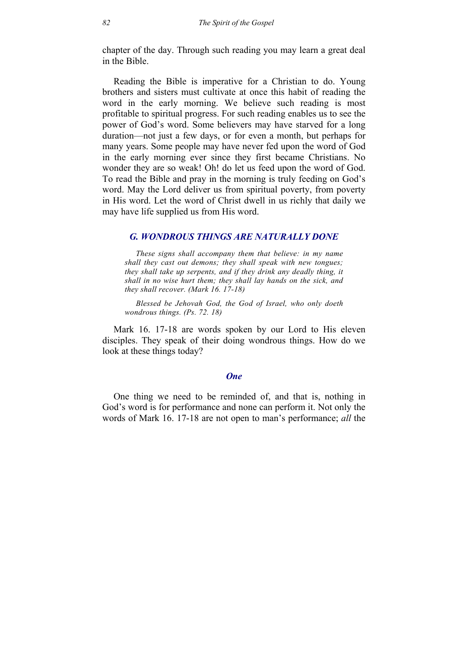chapter of the day. Through such reading you may learn a great deal in the Bible.

Reading the Bible is imperative for a Christian to do. Young brothers and sisters must cultivate at once this habit of reading the word in the early morning. We believe such reading is most profitable to spiritual progress. For such reading enables us to see the power of God's word. Some believers may have starved for a long duration—not just a few days, or for even a month, but perhaps for many years. Some people may have never fed upon the word of God in the early morning ever since they first became Christians. No wonder they are so weak! Oh! do let us feed upon the word of God. To read the Bible and pray in the morning is truly feeding on God's word. May the Lord deliver us from spiritual poverty, from poverty in His word. Let the word of Christ dwell in us richly that daily we may have life supplied us from His word.

# *G. WONDROUS THINGS ARE NATURALLY DONE*

*These signs shall accompany them that believe: in my name shall they cast out demons; they shall speak with new tongues; they shall take up serpents, and if they drink any deadly thing, it shall in no wise hurt them; they shall lay hands on the sick, and they shall recover. (Mark 16. 17-18)* 

*Blessed be Jehovah God, the God of Israel, who only doeth wondrous things. (Ps. 72. 18)* 

Mark 16. 17-18 are words spoken by our Lord to His eleven disciples. They speak of their doing wondrous things. How do we look at these things today?

#### *One*

One thing we need to be reminded of, and that is, nothing in God's word is for performance and none can perform it. Not only the words of Mark 16. 17-18 are not open to man's performance; *all* the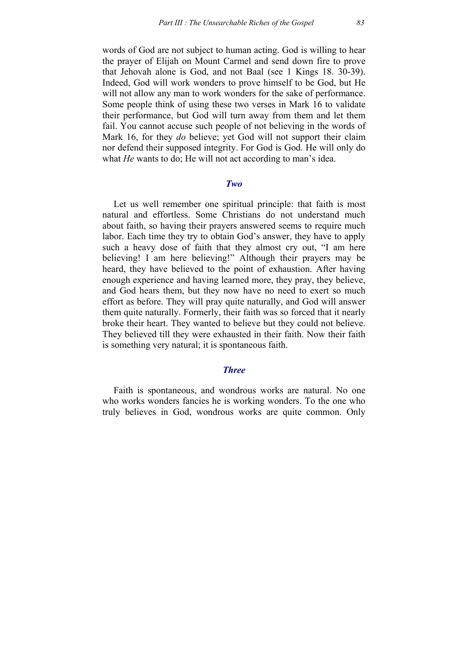words of God are not subject to human acting. God is willing to hear the prayer of Elijah on Mount Carmel and send down fire to prove that Jehovah alone is God, and not Baal (see 1 Kings 18. 30-39). Indeed, God will work wonders to prove himself to be God, but He will not allow any man to work wonders for the sake of performance. Some people think of using these two verses in Mark 16 to validate their performance, but God will turn away from them and let them fail. You cannot accuse such people of not believing in the words of Mark 16, for they *do* believe; yet God will not support their claim nor defend their supposed integrity. For God is God. He will only do what *He* wants to do; He will not act according to man's idea.

#### *Two*

Let us well remember one spiritual principle: that faith is most natural and effortless. Some Christians do not understand much about faith, so having their prayers answered seems to require much labor. Each time they try to obtain God's answer, they have to apply such a heavy dose of faith that they almost cry out, "I am here believing! I am here believing!" Although their prayers may be heard, they have believed to the point of exhaustion. After having enough experience and having learned more, they pray, they believe, and God hears them, but they now have no need to exert so much effort as before. They will pray quite naturally, and God will answer them quite naturally. Formerly, their faith was so forced that it nearly broke their heart. They wanted to believe but they could not believe. They believed till they were exhausted in their faith. Now their faith is something very natural; it is spontaneous faith.

# *Three*

Faith is spontaneous, and wondrous works are natural. No one who works wonders fancies he is working wonders. To the one who truly believes in God, wondrous works are quite common. Only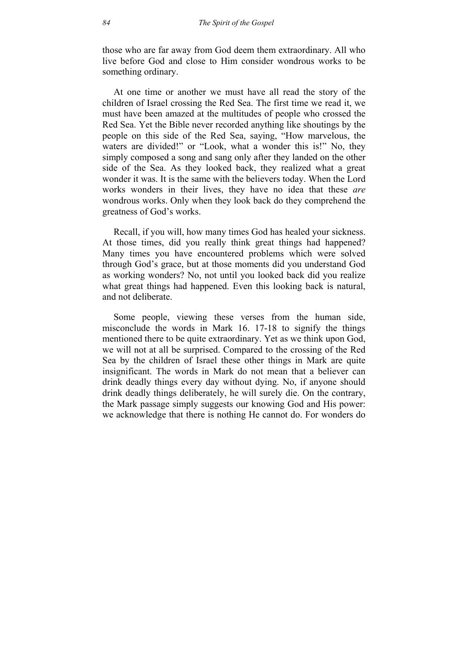those who are far away from God deem them extraordinary. All who live before God and close to Him consider wondrous works to be something ordinary.

At one time or another we must have all read the story of the children of Israel crossing the Red Sea. The first time we read it, we must have been amazed at the multitudes of people who crossed the Red Sea. Yet the Bible never recorded anything like shoutings by the people on this side of the Red Sea, saying, "How marvelous, the waters are divided!" or "Look, what a wonder this is!" No, they simply composed a song and sang only after they landed on the other side of the Sea. As they looked back, they realized what a great wonder it was. It is the same with the believers today. When the Lord works wonders in their lives, they have no idea that these *are* wondrous works. Only when they look back do they comprehend the greatness of God's works.

Recall, if you will, how many times God has healed your sickness. At those times, did you really think great things had happened? Many times you have encountered problems which were solved through God's grace, but at those moments did you understand God as working wonders? No, not until you looked back did you realize what great things had happened. Even this looking back is natural, and not deliberate.

Some people, viewing these verses from the human side, misconclude the words in Mark 16. 17-18 to signify the things mentioned there to be quite extraordinary. Yet as we think upon God, we will not at all be surprised. Compared to the crossing of the Red Sea by the children of Israel these other things in Mark are quite insignificant. The words in Mark do not mean that a believer can drink deadly things every day without dying. No, if anyone should drink deadly things deliberately, he will surely die. On the contrary, the Mark passage simply suggests our knowing God and His power: we acknowledge that there is nothing He cannot do. For wonders do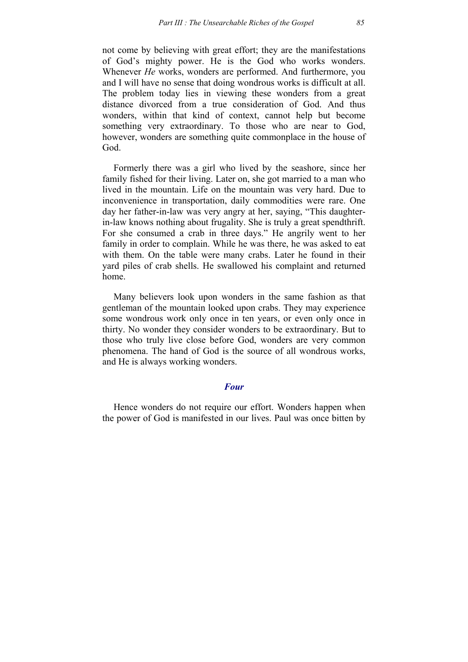not come by believing with great effort; they are the manifestations of God's mighty power. He is the God who works wonders. Whenever *He* works, wonders are performed. And furthermore, you and I will have no sense that doing wondrous works is difficult at all. The problem today lies in viewing these wonders from a great distance divorced from a true consideration of God. And thus wonders, within that kind of context, cannot help but become something very extraordinary. To those who are near to God, however, wonders are something quite commonplace in the house of God.

Formerly there was a girl who lived by the seashore, since her family fished for their living. Later on, she got married to a man who lived in the mountain. Life on the mountain was very hard. Due to inconvenience in transportation, daily commodities were rare. One day her father-in-law was very angry at her, saying, "This daughterin-law knows nothing about frugality. She is truly a great spendthrift. For she consumed a crab in three days." He angrily went to her family in order to complain. While he was there, he was asked to eat with them. On the table were many crabs. Later he found in their yard piles of crab shells. He swallowed his complaint and returned home.

Many believers look upon wonders in the same fashion as that gentleman of the mountain looked upon crabs. They may experience some wondrous work only once in ten years, or even only once in thirty. No wonder they consider wonders to be extraordinary. But to those who truly live close before God, wonders are very common phenomena. The hand of God is the source of all wondrous works, and He is always working wonders.

## *Four*

Hence wonders do not require our effort. Wonders happen when the power of God is manifested in our lives. Paul was once bitten by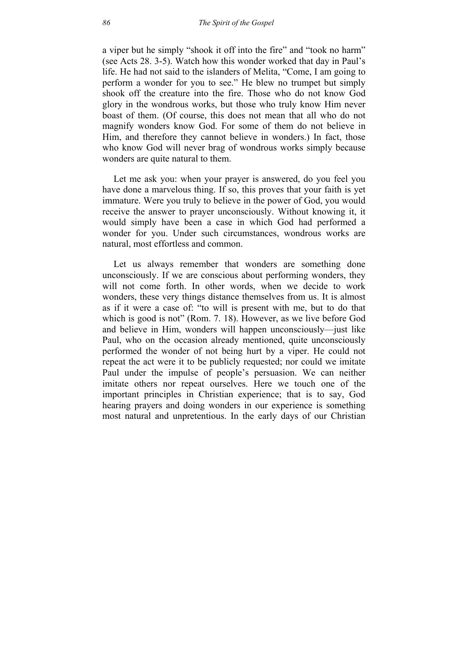a viper but he simply "shook it off into the fire" and "took no harm" (see Acts 28. 3-5). Watch how this wonder worked that day in Paul's life. He had not said to the islanders of Melita, "Come, I am going to perform a wonder for you to see." He blew no trumpet but simply shook off the creature into the fire. Those who do not know God glory in the wondrous works, but those who truly know Him never boast of them. (Of course, this does not mean that all who do not magnify wonders know God. For some of them do not believe in Him, and therefore they cannot believe in wonders.) In fact, those who know God will never brag of wondrous works simply because wonders are quite natural to them.

Let me ask you: when your prayer is answered, do you feel you have done a marvelous thing. If so, this proves that your faith is yet immature. Were you truly to believe in the power of God, you would receive the answer to prayer unconsciously. Without knowing it, it would simply have been a case in which God had performed a wonder for you. Under such circumstances, wondrous works are natural, most effortless and common.

Let us always remember that wonders are something done unconsciously. If we are conscious about performing wonders, they will not come forth. In other words, when we decide to work wonders, these very things distance themselves from us. It is almost as if it were a case of: "to will is present with me, but to do that which is good is not" (Rom. 7. 18). However, as we live before God and believe in Him, wonders will happen unconsciously—just like Paul, who on the occasion already mentioned, quite unconsciously performed the wonder of not being hurt by a viper. He could not repeat the act were it to be publicly requested; nor could we imitate Paul under the impulse of people's persuasion. We can neither imitate others nor repeat ourselves. Here we touch one of the important principles in Christian experience; that is to say, God hearing prayers and doing wonders in our experience is something most natural and unpretentious. In the early days of our Christian